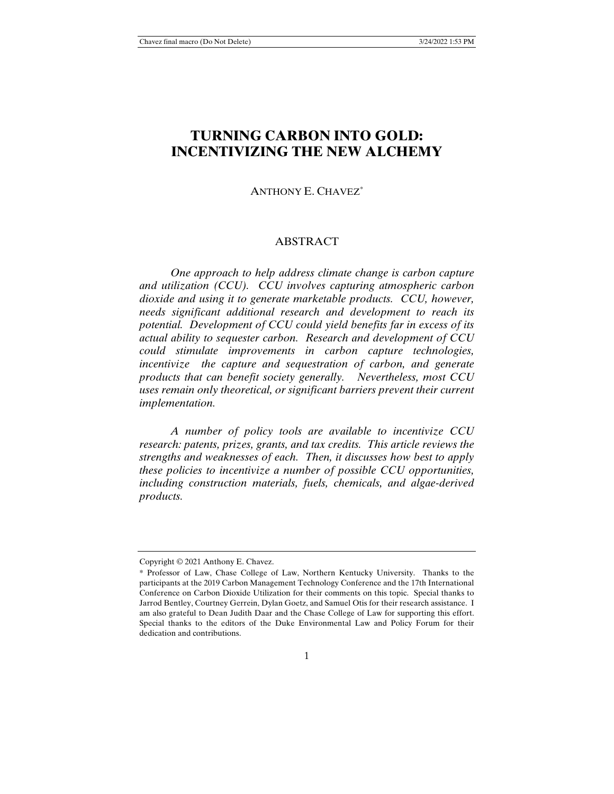# **TURNING CARBON INTO GOLD: INCENTIVIZING THE NEW ALCHEMY**

# ANTHONY E. CHAVEZ\*

# ABSTRACT

 *One approach to help address climate change is carbon capture and utilization (CCU). CCU involves capturing atmospheric carbon dioxide and using it to generate marketable products. CCU, however, needs significant additional research and development to reach its potential. Development of CCU could yield benefits far in excess of its actual ability to sequester carbon. Research and development of CCU could stimulate improvements in carbon capture technologies, incentivize the capture and sequestration of carbon, and generate products that can benefit society generally. Nevertheless, most CCU uses remain only theoretical, or significant barriers prevent their current implementation.* 

 *A number of policy tools are available to incentivize CCU research: patents, prizes, grants, and tax credits. This article reviews the strengths and weaknesses of each. Then, it discusses how best to apply these policies to incentivize a number of possible CCU opportunities, including construction materials, fuels, chemicals, and algae-derived products.* 

Copyright © 2021 Anthony E. Chavez.

<sup>\*</sup> Professor of Law, Chase College of Law, Northern Kentucky University. Thanks to the participants at the 2019 Carbon Management Technology Conference and the 17th International Conference on Carbon Dioxide Utilization for their comments on this topic. Special thanks to Jarrod Bentley, Courtney Gerrein, Dylan Goetz, and Samuel Otis for their research assistance. I am also grateful to Dean Judith Daar and the Chase College of Law for supporting this effort. Special thanks to the editors of the Duke Environmental Law and Policy Forum for their dedication and contributions.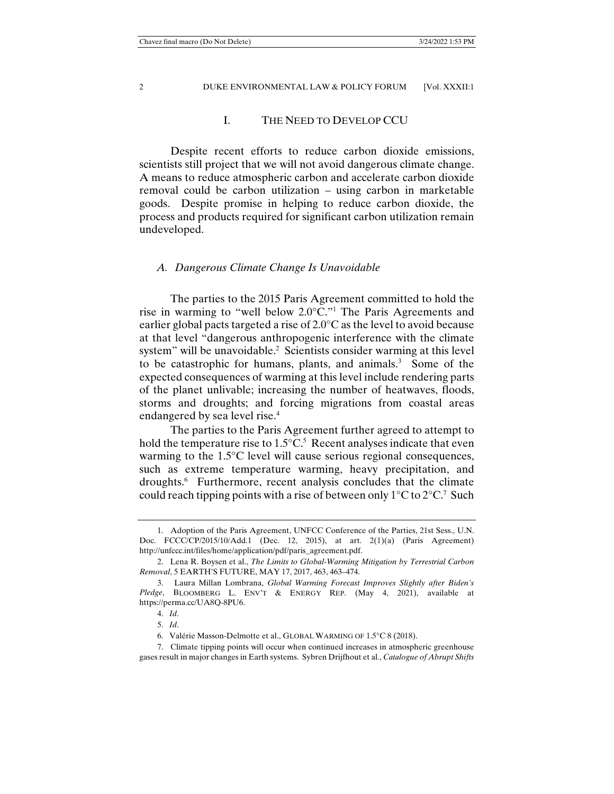## I. THE NEED TO DEVELOP CCU

 Despite recent efforts to reduce carbon dioxide emissions, scientists still project that we will not avoid dangerous climate change. A means to reduce atmospheric carbon and accelerate carbon dioxide removal could be carbon utilization – using carbon in marketable goods. Despite promise in helping to reduce carbon dioxide, the process and products required for significant carbon utilization remain undeveloped.

## *A. Dangerous Climate Change Is Unavoidable*

 The parties to the 2015 Paris Agreement committed to hold the rise in warming to "well below 2.0°C."1 The Paris Agreements and earlier global pacts targeted a rise of 2.0°C as the level to avoid because at that level "dangerous anthropogenic interference with the climate system" will be unavoidable.<sup>2</sup> Scientists consider warming at this level to be catastrophic for humans, plants, and animals.<sup>3</sup> Some of the expected consequences of warming at this level include rendering parts of the planet unlivable; increasing the number of heatwaves, floods, storms and droughts; and forcing migrations from coastal areas endangered by sea level rise.<sup>4</sup>

 The parties to the Paris Agreement further agreed to attempt to hold the temperature rise to  $1.5^{\circ}$ C.<sup>5</sup> Recent analyses indicate that even warming to the 1.5°C level will cause serious regional consequences, such as extreme temperature warming, heavy precipitation, and droughts.<sup>6</sup> Furthermore, recent analysis concludes that the climate could reach tipping points with a rise of between only  $1^{\circ}$ C to  $2^{\circ}$ C.<sup>7</sup> Such

 <sup>1.</sup> Adoption of the Paris Agreement, UNFCC Conference of the Parties, 21st Sess., U.N. Doc. FCCC/CP/2015/10/Add.1 (Dec. 12, 2015), at art. 2(1)(a) (Paris Agreement) http://unfccc.int/files/home/application/pdf/paris\_agreement.pdf.

 <sup>2.</sup> Lena R. Boysen et al., *The Limits to Global-Warming Mitigation by Terrestrial Carbon Removal*, 5 EARTH'S FUTURE, MAY 17, 2017, 463, 463–474.

 <sup>3.</sup> Laura Millan Lombrana, *Global Warming Forecast Improves Slightly after Biden's Pledge*, BLOOMBERG L. ENV'T & ENERGY REP. (May 4, 2021), available at https://perma.cc/UA8Q-8PU6.

 <sup>4.</sup> *Id*.

 <sup>5.</sup> *Id*.

 <sup>6.</sup> Valérie Masson-Delmotte et al., GLOBAL WARMING OF 1.5°C 8 (2018).

 <sup>7.</sup> Climate tipping points will occur when continued increases in atmospheric greenhouse gases result in major changes in Earth systems. Sybren Drijfhout et al., *Catalogue of Abrupt Shifts*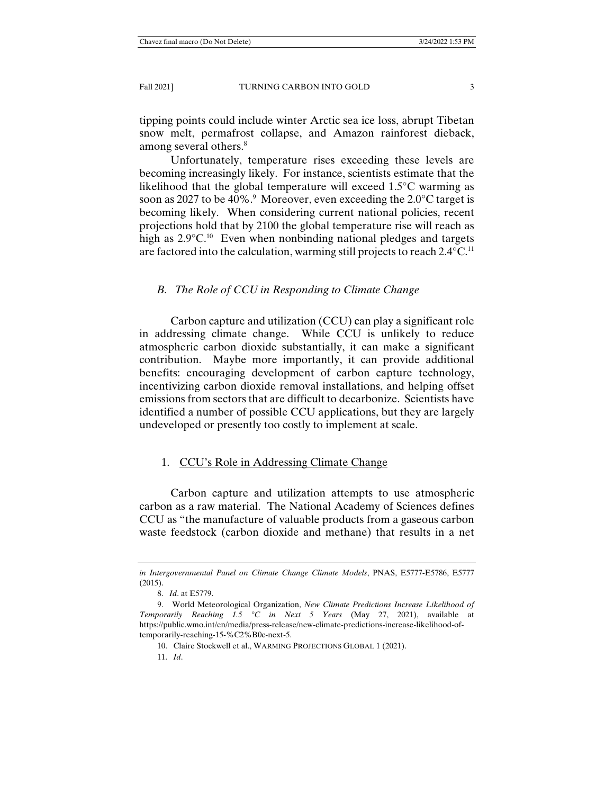tipping points could include winter Arctic sea ice loss, abrupt Tibetan snow melt, permafrost collapse, and Amazon rainforest dieback, among several others.<sup>8</sup>

 Unfortunately, temperature rises exceeding these levels are becoming increasingly likely. For instance, scientists estimate that the likelihood that the global temperature will exceed 1.5°C warming as soon as 2027 to be 40%.<sup>9</sup> Moreover, even exceeding the 2.0 $\rm ^{\circ}C$  target is becoming likely. When considering current national policies, recent projections hold that by 2100 the global temperature rise will reach as high as 2.9°C.<sup>10</sup> Even when nonbinding national pledges and targets are factored into the calculation, warming still projects to reach  $2.4^{\circ}$ C.<sup>11</sup>

#### *B. The Role of CCU in Responding to Climate Change*

 Carbon capture and utilization (CCU) can play a significant role in addressing climate change. While CCU is unlikely to reduce atmospheric carbon dioxide substantially, it can make a significant contribution. Maybe more importantly, it can provide additional benefits: encouraging development of carbon capture technology, incentivizing carbon dioxide removal installations, and helping offset emissions from sectors that are difficult to decarbonize. Scientists have identified a number of possible CCU applications, but they are largely undeveloped or presently too costly to implement at scale.

#### 1. CCU's Role in Addressing Climate Change

 Carbon capture and utilization attempts to use atmospheric carbon as a raw material. The National Academy of Sciences defines CCU as "the manufacture of valuable products from a gaseous carbon waste feedstock (carbon dioxide and methane) that results in a net

*in Intergovernmental Panel on Climate Change Climate Models*, PNAS, E5777-E5786, E5777 (2015).

 <sup>8.</sup> *Id*. at E5779.

 <sup>9.</sup> World Meteorological Organization, *New Climate Predictions Increase Likelihood of Temporarily Reaching 1.5 °C in Next 5 Years* (May 27, 2021), available at https://public.wmo.int/en/media/press-release/new-climate-predictions-increase-likelihood-oftemporarily-reaching-15-%C2%B0c-next-5.

 <sup>10.</sup> Claire Stockwell et al., WARMING PROJECTIONS GLOBAL 1 (2021).

 <sup>11.</sup> *Id*.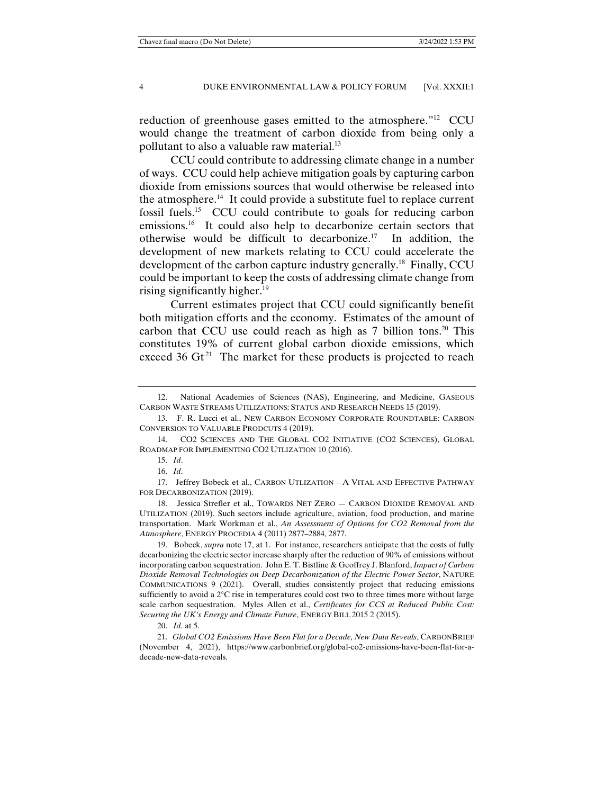reduction of greenhouse gases emitted to the atmosphere."12 CCU would change the treatment of carbon dioxide from being only a pollutant to also a valuable raw material.<sup>13</sup>

 CCU could contribute to addressing climate change in a number of ways. CCU could help achieve mitigation goals by capturing carbon dioxide from emissions sources that would otherwise be released into the atmosphere.<sup>14</sup> It could provide a substitute fuel to replace current fossil fuels.15 CCU could contribute to goals for reducing carbon emissions.<sup>16</sup> It could also help to decarbonize certain sectors that otherwise would be difficult to decarbonize.<sup>17</sup> In addition, the development of new markets relating to CCU could accelerate the development of the carbon capture industry generally.<sup>18</sup> Finally, CCU could be important to keep the costs of addressing climate change from rising significantly higher.<sup>19</sup>

 Current estimates project that CCU could significantly benefit both mitigation efforts and the economy. Estimates of the amount of carbon that CCU use could reach as high as  $7$  billion tons.<sup>20</sup> This constitutes 19% of current global carbon dioxide emissions, which exceed 36  $\mathrm{G}t^{21}$  The market for these products is projected to reach

 <sup>12.</sup> National Academies of Sciences (NAS), Engineering, and Medicine, GASEOUS CARBON WASTE STREAMS UTILIZATIONS: STATUS AND RESEARCH NEEDS 15 (2019).

 <sup>13.</sup> F. R. Lucci et al., NEW CARBON ECONOMY CORPORATE ROUNDTABLE: CARBON CONVERSION TO VALUABLE PRODCUTS 4 (2019).

 <sup>14.</sup> CO2 SCIENCES AND THE GLOBAL CO2 INITIATIVE (CO2 SCIENCES), GLOBAL ROADMAP FOR IMPLEMENTING CO2 UTLIZATION 10 (2016).

 <sup>15.</sup> *Id*.

 <sup>16.</sup> *Id*.

 <sup>17.</sup> Jeffrey Bobeck et al., CARBON UTLIZATION – A VITAL AND EFFECTIVE PATHWAY FOR DECARBONIZATION (2019).

 <sup>18.</sup> Jessica Strefler et al., TOWARDS NET ZERO — CARBON DIOXIDE REMOVAL AND UTILIZATION (2019). Such sectors include agriculture, aviation, food production, and marine transportation. Mark Workman et al., *An Assessment of Options for CO2 Removal from the Atmosphere*, ENERGY PROCEDIA 4 (2011) 2877–2884, 2877.

 <sup>19.</sup> Bobeck, *supra* note 17, at 1. For instance, researchers anticipate that the costs of fully decarbonizing the electric sector increase sharply after the reduction of 90% of emissions without incorporating carbon sequestration. John E. T. Bistline & Geoffrey J. Blanford, *Impact of Carbon Dioxide Removal Technologies on Deep Decarbonization of the Electric Power Sector*, NATURE COMMUNICATIONS 9 (2021). Overall, studies consistently project that reducing emissions sufficiently to avoid a 2°C rise in temperatures could cost two to three times more without large scale carbon sequestration. Myles Allen et al., *Certificates for CCS at Reduced Public Cost: Securing the UK's Energy and Climate Future*, ENERGY BILL 2015 2 (2015).

 <sup>20.</sup> *Id*. at 5.

 <sup>21.</sup> *Global CO2 Emissions Have Been Flat for a Decade, New Data Reveals*, CARBONBRIEF (November 4, 2021), https://www.carbonbrief.org/global-co2-emissions-have-been-flat-for-adecade-new-data-reveals.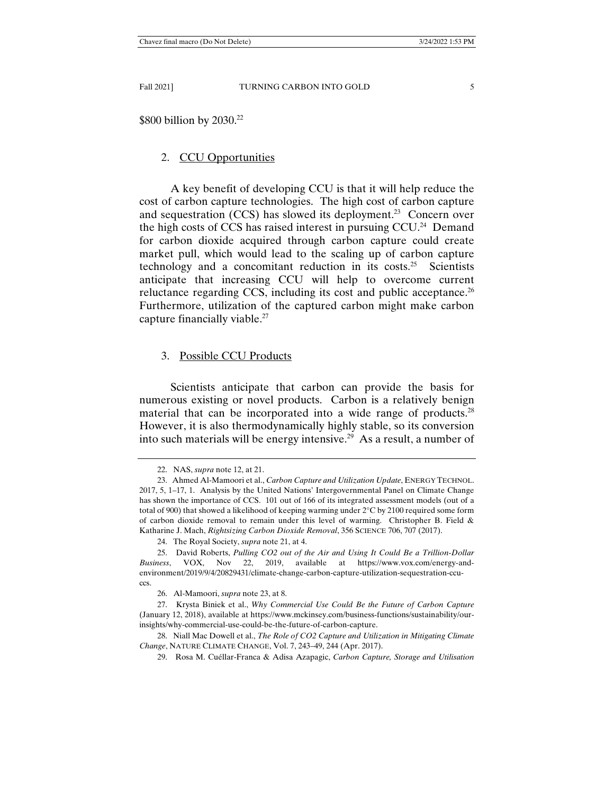\$800 billion by 2030.<sup>22</sup>

# 2. CCU Opportunities

 A key benefit of developing CCU is that it will help reduce the cost of carbon capture technologies. The high cost of carbon capture and sequestration (CCS) has slowed its deployment.<sup>23</sup> Concern over the high costs of CCS has raised interest in pursuing  $CCU<sup>24</sup>$  Demand for carbon dioxide acquired through carbon capture could create market pull, which would lead to the scaling up of carbon capture technology and a concomitant reduction in its costs.<sup>25</sup> Scientists anticipate that increasing CCU will help to overcome current reluctance regarding CCS, including its cost and public acceptance.<sup>26</sup> Furthermore, utilization of the captured carbon might make carbon capture financially viable.<sup>27</sup>

# 3. Possible CCU Products

 Scientists anticipate that carbon can provide the basis for numerous existing or novel products. Carbon is a relatively benign material that can be incorporated into a wide range of products.<sup>28</sup> However, it is also thermodynamically highly stable, so its conversion into such materials will be energy intensive.<sup>29</sup> As a result, a number of

 <sup>22.</sup> NAS, *supra* note 12, at 21.

 <sup>23.</sup> Ahmed Al-Mamoori et al., *Carbon Capture and Utilization Update*, ENERGY TECHNOL. 2017, 5, 1–17, 1. Analysis by the United Nations' Intergovernmental Panel on Climate Change has shown the importance of CCS. 101 out of 166 of its integrated assessment models (out of a total of 900) that showed a likelihood of keeping warming under 2°C by 2100 required some form of carbon dioxide removal to remain under this level of warming. Christopher B. Field  $\&$ Katharine J. Mach, *Rightsizing Carbon Dioxide Removal*, 356 SCIENCE 706, 707 (2017).

 <sup>24.</sup> The Royal Society, *supra* note 21, at 4.

 <sup>25.</sup> David Roberts, *Pulling CO2 out of the Air and Using It Could Be a Trillion-Dollar Business*, VOX, Nov 22, 2019, available at https://www.vox.com/energy-andenvironment/2019/9/4/20829431/climate-change-carbon-capture-utilization-sequestration-ccuccs.

 <sup>26.</sup> Al-Mamoori, *supra* note 23, at 8.

 <sup>27.</sup> Krysta Biniek et al., *Why Commercial Use Could Be the Future of Carbon Capture* (January 12, 2018), available at https://www.mckinsey.com/business-functions/sustainability/ourinsights/why-commercial-use-could-be-the-future-of-carbon-capture.

 <sup>28.</sup> Niall Mac Dowell et al., *The Role of CO2 Capture and Utilization in Mitigating Climate Change*, NATURE CLIMATE CHANGE, Vol. 7, 243–49, 244 (Apr. 2017).

 <sup>29.</sup> Rosa M. Cuéllar-Franca & Adisa Azapagic, *Carbon Capture, Storage and Utilisation*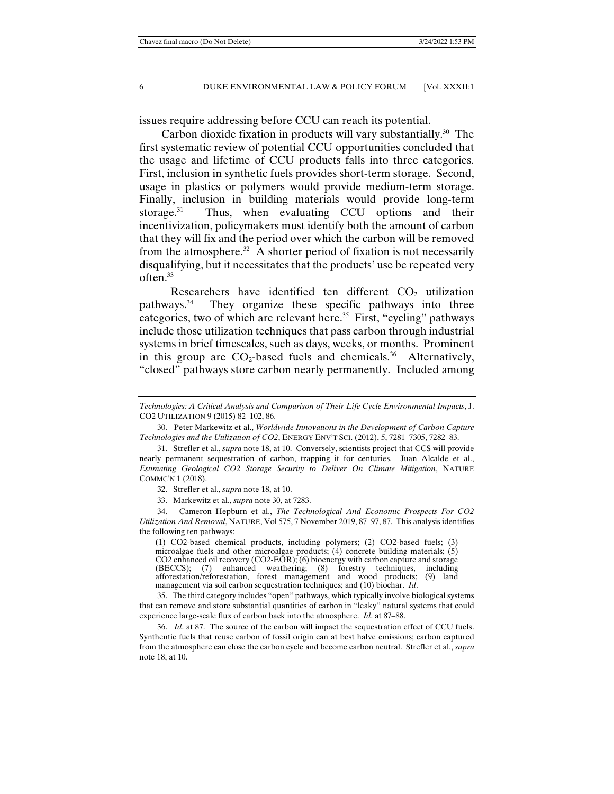issues require addressing before CCU can reach its potential.

Carbon dioxide fixation in products will vary substantially.<sup>30</sup> The first systematic review of potential CCU opportunities concluded that the usage and lifetime of CCU products falls into three categories. First, inclusion in synthetic fuels provides short-term storage. Second, usage in plastics or polymers would provide medium-term storage. Finally, inclusion in building materials would provide long-term storage. $31$  Thus, when evaluating CCU options and their incentivization, policymakers must identify both the amount of carbon that they will fix and the period over which the carbon will be removed from the atmosphere.<sup>32</sup> A shorter period of fixation is not necessarily disqualifying, but it necessitates that the products' use be repeated very often.33

Researchers have identified ten different  $CO<sub>2</sub>$  utilization pathways.34 They organize these specific pathways into three categories, two of which are relevant here. $35$  First, "cycling" pathways include those utilization techniques that pass carbon through industrial systems in brief timescales, such as days, weeks, or months. Prominent in this group are  $CO<sub>2</sub>$ -based fuels and chemicals.<sup>36</sup> Alternatively, "closed" pathways store carbon nearly permanently. Included among

32. Strefler et al., *supra* note 18, at 10.

33. Markewitz et al., *supra* note 30, at 7283.

 34. Cameron Hepburn et al., *The Technological And Economic Prospects For CO2 Utilization And Removal*, NATURE, Vol 575, 7 November 2019, 87–97, 87. This analysis identifies the following ten pathways:

(1) CO2-based chemical products, including polymers; (2) CO2-based fuels; (3) microalgae fuels and other microalgae products;  $(4)$  concrete building materials;  $(5)$ CO2 enhanced oil recovery (CO2-EOR); (6) bioenergy with carbon capture and storage (BECCS); (7) enhanced weathering; (8) forestry techniques, including afforestation/reforestation, forest management and wood products; (9) land management via soil carbon sequestration techniques; and (10) biochar. *Id*.

 35. The third category includes "open" pathways, which typically involve biological systems that can remove and store substantial quantities of carbon in "leaky" natural systems that could experience large-scale flux of carbon back into the atmosphere. *Id*. at 87–88.

 36. *Id*. at 87. The source of the carbon will impact the sequestration effect of CCU fuels. Synthentic fuels that reuse carbon of fossil origin can at best halve emissions; carbon captured from the atmosphere can close the carbon cycle and become carbon neutral. Strefler et al., *supra* note 18, at 10.

*Technologies: A Critical Analysis and Comparison of Their Life Cycle Environmental Impacts*, J. CO2 UTILIZATION 9 (2015) 82–102, 86.

 <sup>30.</sup> Peter Markewitz et al., *Worldwide Innovations in the Development of Carbon Capture Technologies and the Utilization of CO2*, ENERGY ENV'T SCI. (2012), 5, 7281–7305, 7282–83.

 <sup>31.</sup> Strefler et al., *supra* note 18, at 10. Conversely, scientists project that CCS will provide nearly permanent sequestration of carbon, trapping it for centuries. Juan Alcalde et al., *Estimating Geological CO2 Storage Security to Deliver On Climate Mitigation*, NATURE COMMC'N 1 (2018).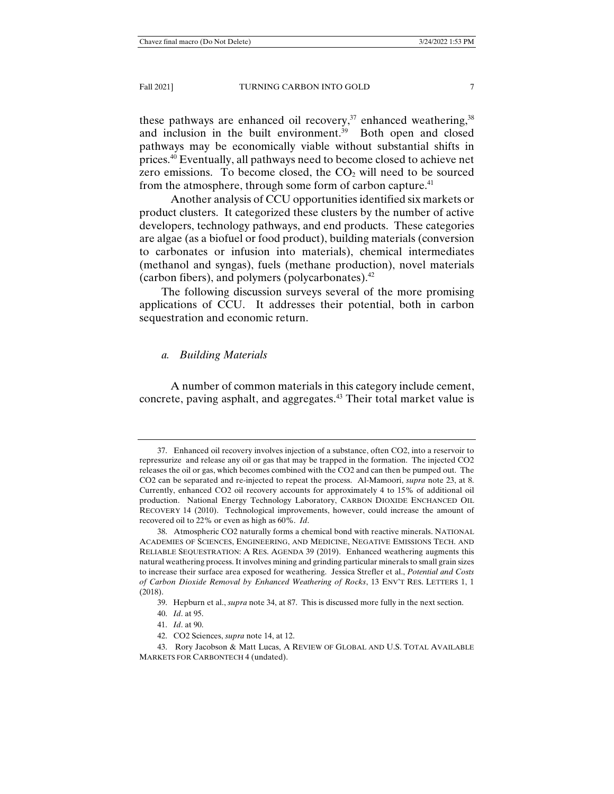these pathways are enhanced oil recovery,<sup>37</sup> enhanced weathering,  $38$ and inclusion in the built environment.<sup>39</sup> Both open and closed pathways may be economically viable without substantial shifts in prices.40 Eventually, all pathways need to become closed to achieve net zero emissions. To become closed, the  $CO<sub>2</sub>$  will need to be sourced from the atmosphere, through some form of carbon capture.<sup>41</sup>

 Another analysis of CCU opportunities identified six markets or product clusters. It categorized these clusters by the number of active developers, technology pathways, and end products. These categories are algae (as a biofuel or food product), building materials (conversion to carbonates or infusion into materials), chemical intermediates (methanol and syngas), fuels (methane production), novel materials (carbon fibers), and polymers (polycarbonates).42

The following discussion surveys several of the more promising applications of CCU. It addresses their potential, both in carbon sequestration and economic return.

#### *a. Building Materials*

 A number of common materials in this category include cement, concrete, paving asphalt, and aggregates.43 Their total market value is

- 41. *Id*. at 90.
- 42. CO2 Sciences, *supra* note 14, at 12.

 <sup>37.</sup> Enhanced oil recovery involves injection of a substance, often CO2, into a reservoir to repressurize and release any oil or gas that may be trapped in the formation. The injected CO2 releases the oil or gas, which becomes combined with the CO2 and can then be pumped out. The CO2 can be separated and re-injected to repeat the process. Al-Mamoori, *supra* note 23, at 8. Currently, enhanced CO2 oil recovery accounts for approximately 4 to 15% of additional oil production. National Energy Technology Laboratory, CARBON DIOXIDE ENCHANCED OIL RECOVERY 14 (2010). Technological improvements, however, could increase the amount of recovered oil to 22% or even as high as 60%. *Id*.

 <sup>38.</sup> Atmospheric CO2 naturally forms a chemical bond with reactive minerals. NATIONAL ACADEMIES OF SCIENCES, ENGINEERING, AND MEDICINE, NEGATIVE EMISSIONS TECH. AND RELIABLE SEQUESTRATION: A RES. AGENDA 39 (2019). Enhanced weathering augments this natural weathering process. It involves mining and grinding particular minerals to small grain sizes to increase their surface area exposed for weathering. Jessica Strefler et al., *Potential and Costs of Carbon Dioxide Removal by Enhanced Weathering of Rocks*, 13 ENV'T RES. LETTERS 1, 1 (2018).

 <sup>39.</sup> Hepburn et al., *supra* note 34, at 87. This is discussed more fully in the next section.

 <sup>40.</sup> *Id*. at 95.

 <sup>43.</sup> Rory Jacobson & Matt Lucas, A REVIEW OF GLOBAL AND U.S. TOTAL AVAILABLE MARKETS FOR CARBONTECH 4 (undated).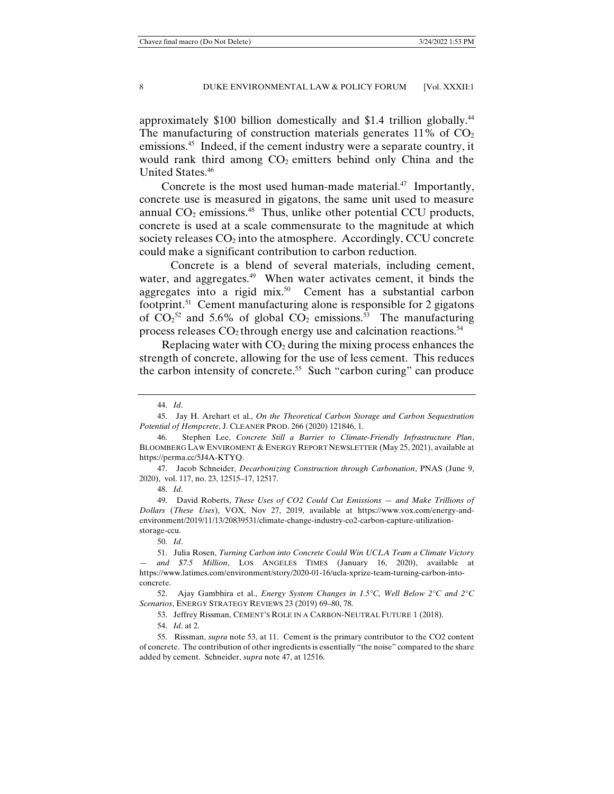approximately \$100 billion domestically and \$1.4 trillion globally.<sup>44</sup> The manufacturing of construction materials generates  $11\%$  of  $CO<sub>2</sub>$ emissions.<sup>45</sup> Indeed, if the cement industry were a separate country, it would rank third among  $CO<sub>2</sub>$  emitters behind only China and the United States.46

Concrete is the most used human-made material.<sup>47</sup> Importantly, concrete use is measured in gigatons, the same unit used to measure annual  $CO<sub>2</sub>$  emissions.<sup>48</sup> Thus, unlike other potential CCU products, concrete is used at a scale commensurate to the magnitude at which society releases  $CO<sub>2</sub>$  into the atmosphere. Accordingly, CCU concrete could make a significant contribution to carbon reduction.

 Concrete is a blend of several materials, including cement, water, and aggregates.<sup>49</sup> When water activates cement, it binds the aggregates into a rigid mix.<sup>50</sup> Cement has a substantial carbon footprint.<sup>51</sup> Cement manufacturing alone is responsible for 2 gigatons of  $CO_2^{52}$  and 5.6% of global  $CO_2$  emissions.<sup>53</sup> The manufacturing process releases  $CO<sub>2</sub>$  through energy use and calcination reactions.<sup>54</sup>

Replacing water with  $CO<sub>2</sub>$  during the mixing process enhances the strength of concrete, allowing for the use of less cement. This reduces the carbon intensity of concrete.55 Such "carbon curing" can produce

48. *Id*.

 49. David Roberts, *These Uses of CO2 Could Cut Emissions — and Make Trillions of Dollars* (*These Uses*), VOX, Nov 27, 2019, available at https://www.vox.com/energy-andenvironment/2019/11/13/20839531/climate-change-industry-co2-carbon-capture-utilizationstorage-ccu.

50. *Id*.

 51. Julia Rosen, *Turning Carbon into Concrete Could Win UCLA Team a Climate Victory — and \$7.5 Million*, LOS ANGELES TIMES (January 16, 2020), available at https://www.latimes.com/environment/story/2020-01-16/ucla-xprize-team-turning-carbon-intoconcrete.

 52. Ajay Gambhira et al., *Energy System Changes in 1.5°C, Well Below 2°C and 2°C Scenarios*, ENERGY STRATEGY REVIEWS 23 (2019) 69–80, 78.

53. Jeffrey Rissman, CEMENT'S ROLE IN A CARBON-NEUTRAL FUTURE 1 (2018).

54. *Id*. at 2.

 <sup>44.</sup> *Id*.

 <sup>45.</sup> Jay H. Arehart et al., *On the Theoretical Carbon Storage and Carbon Sequestration Potential of Hempcrete*, J. CLEANER PROD. 266 (2020) 121846, 1.

 <sup>46.</sup> Stephen Lee, *Concrete Still a Barrier to Climate-Friendly Infrastructure Plan*, BLOOMBERG LAW ENVIROMENT & ENERGY REPORT NEWSLETTER (May 25, 2021), available at https://perma.cc/5J4A-KTYQ.

 <sup>47.</sup> Jacob Schneider, *Decarbonizing Construction through Carbonation*, PNAS (June 9, 2020), vol. 117, no. 23, 12515–17, 12517.

 <sup>55.</sup> Rissman, *supra* note 53, at 11. Cement is the primary contributor to the CO2 content of concrete. The contribution of other ingredients is essentially "the noise" compared to the share added by cement. Schneider, *supra* note 47, at 12516.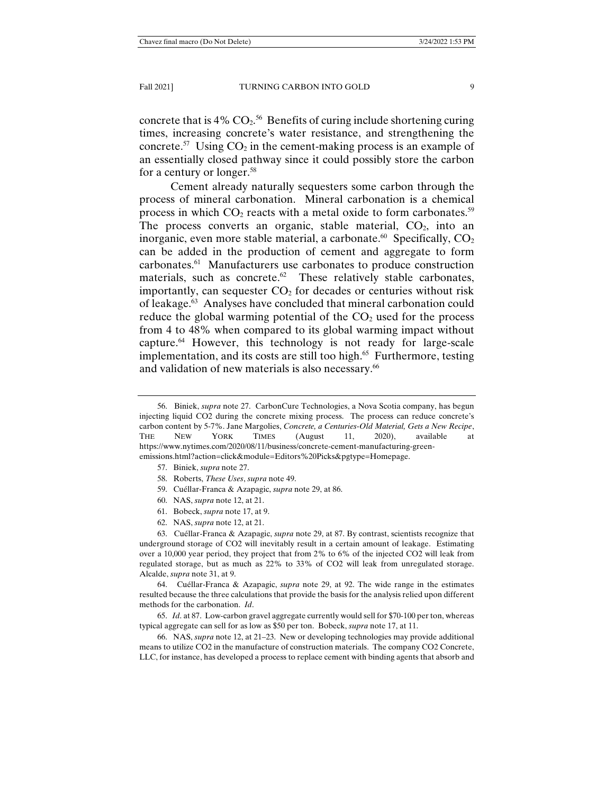concrete that is  $4\%$  CO<sub>2</sub>.<sup>56</sup> Benefits of curing include shortening curing times, increasing concrete's water resistance, and strengthening the concrete.<sup>57</sup> Using  $CO_2$  in the cement-making process is an example of an essentially closed pathway since it could possibly store the carbon for a century or longer.<sup>58</sup>

 Cement already naturally sequesters some carbon through the process of mineral carbonation. Mineral carbonation is a chemical process in which  $CO<sub>2</sub>$  reacts with a metal oxide to form carbonates.<sup>59</sup> The process converts an organic, stable material,  $CO<sub>2</sub>$ , into an inorganic, even more stable material, a carbonate.<sup>60</sup> Specifically,  $CO<sub>2</sub>$ can be added in the production of cement and aggregate to form carbonates.61 Manufacturers use carbonates to produce construction materials, such as concrete. $62$  These relatively stable carbonates, importantly, can sequester  $CO<sub>2</sub>$  for decades or centuries without risk of leakage.63 Analyses have concluded that mineral carbonation could reduce the global warming potential of the  $CO<sub>2</sub>$  used for the process from 4 to 48% when compared to its global warming impact without capture.64 However, this technology is not ready for large-scale implementation, and its costs are still too high. $65$  Furthermore, testing and validation of new materials is also necessary.<sup>66</sup>

- 61. Bobeck, *supra* note 17, at 9.
- 62. NAS, *supra* note 12, at 21.

 63. Cuéllar-Franca & Azapagic, *supra* note 29, at 87. By contrast, scientists recognize that underground storage of CO2 will inevitably result in a certain amount of leakage. Estimating over a 10,000 year period, they project that from 2% to 6% of the injected CO2 will leak from regulated storage, but as much as 22% to 33% of CO2 will leak from unregulated storage. Alcalde, *supra* note 31, at 9.

 64. Cuéllar-Franca & Azapagic, *supra* note 29, at 92. The wide range in the estimates resulted because the three calculations that provide the basis for the analysis relied upon different methods for the carbonation. *Id*.

 65. *Id*. at 87. Low-carbon gravel aggregate currently would sell for \$70-100 per ton, whereas typical aggregate can sell for as low as \$50 per ton. Bobeck, *supra* note 17, at 11.

 66. NAS, *supra* note 12, at 21–23. New or developing technologies may provide additional means to utilize CO2 in the manufacture of construction materials. The company CO2 Concrete, LLC, for instance, has developed a process to replace cement with binding agents that absorb and

 <sup>56.</sup> Biniek, *supra* note 27. CarbonCure Technologies, a Nova Scotia company, has begun injecting liquid CO2 during the concrete mixing process. The process can reduce concrete's carbon content by 5-7%. Jane Margolies, *Concrete, a Centuries-Old Material, Gets a New Recipe*, THE NEW YORK TIMES (August 11, 2020), available at https://www.nytimes.com/2020/08/11/business/concrete-cement-manufacturing-greenemissions.html?action=click&module=Editors%20Picks&pgtype=Homepage.

 <sup>57.</sup> Biniek, *supra* note 27.

 <sup>58.</sup> Roberts, *These Uses*, *supra* note 49.

 <sup>59.</sup> Cuéllar-Franca & Azapagic, *supra* note 29, at 86.

 <sup>60.</sup> NAS, *supra* note 12, at 21.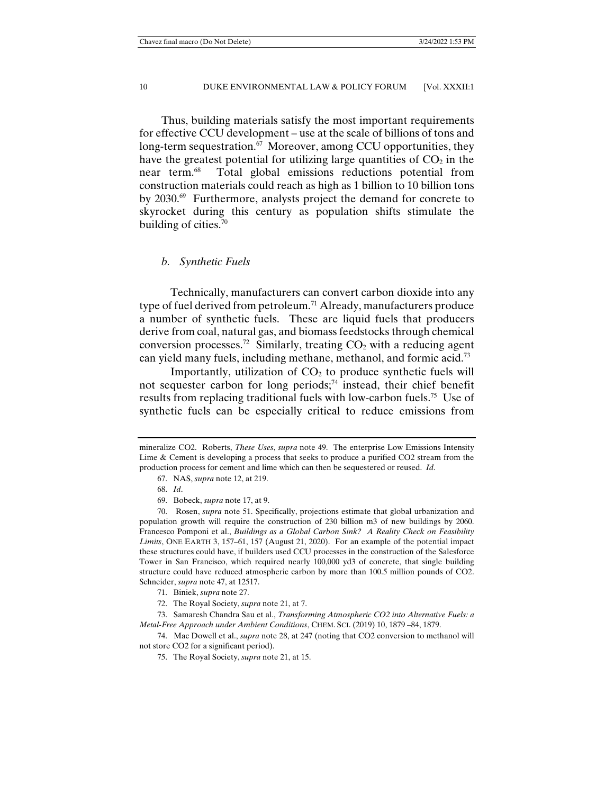Thus, building materials satisfy the most important requirements for effective CCU development – use at the scale of billions of tons and long-term sequestration.<sup>67</sup> Moreover, among CCU opportunities, they have the greatest potential for utilizing large quantities of  $CO<sub>2</sub>$  in the near term.<sup>68</sup> Total global emissions reductions potential from construction materials could reach as high as 1 billion to 10 billion tons by 2030.<sup>69</sup> Furthermore, analysts project the demand for concrete to skyrocket during this century as population shifts stimulate the building of cities. $70$ 

#### *b. Synthetic Fuels*

 Technically, manufacturers can convert carbon dioxide into any type of fuel derived from petroleum.<sup>71</sup> Already, manufacturers produce a number of synthetic fuels. These are liquid fuels that producers derive from coal, natural gas, and biomass feedstocks through chemical conversion processes.<sup>72</sup> Similarly, treating  $CO<sub>2</sub>$  with a reducing agent can yield many fuels, including methane, methanol, and formic acid.73

Importantly, utilization of  $CO<sub>2</sub>$  to produce synthetic fuels will not sequester carbon for long periods;<sup>74</sup> instead, their chief benefit results from replacing traditional fuels with low-carbon fuels.75 Use of synthetic fuels can be especially critical to reduce emissions from

 73. Samaresh Chandra Sau et al., *Transforming Atmospheric CO2 into Alternative Fuels: a Metal-Free Approach under Ambient Conditions*, CHEM. SCI. (2019) 10, 1879 –84, 1879.

 74. Mac Dowell et al., *supra* note 28, at 247 (noting that CO2 conversion to methanol will not store CO2 for a significant period).

75. The Royal Society, *supra* note 21, at 15.

mineralize CO2. Roberts, *These Uses*, *supra* note 49. The enterprise Low Emissions Intensity Lime & Cement is developing a process that seeks to produce a purified CO2 stream from the production process for cement and lime which can then be sequestered or reused. *Id*.

 <sup>67.</sup> NAS, *supra* note 12, at 219.

 <sup>68.</sup> *Id*.

 <sup>69.</sup> Bobeck, *supra* note 17, at 9.

 <sup>70.</sup> Rosen, *supra* note 51. Specifically, projections estimate that global urbanization and population growth will require the construction of 230 billion m3 of new buildings by 2060. Francesco Pomponi et al., *Buildings as a Global Carbon Sink? A Reality Check on Feasibility Limits*, ONE EARTH 3, 157–61, 157 (August 21, 2020). For an example of the potential impact these structures could have, if builders used CCU processes in the construction of the Salesforce Tower in San Francisco, which required nearly 100,000 yd3 of concrete, that single building structure could have reduced atmospheric carbon by more than 100.5 million pounds of CO2. Schneider, *supra* note 47, at 12517.

 <sup>71.</sup> Biniek, *supra* note 27.

 <sup>72.</sup> The Royal Society, *supra* note 21, at 7.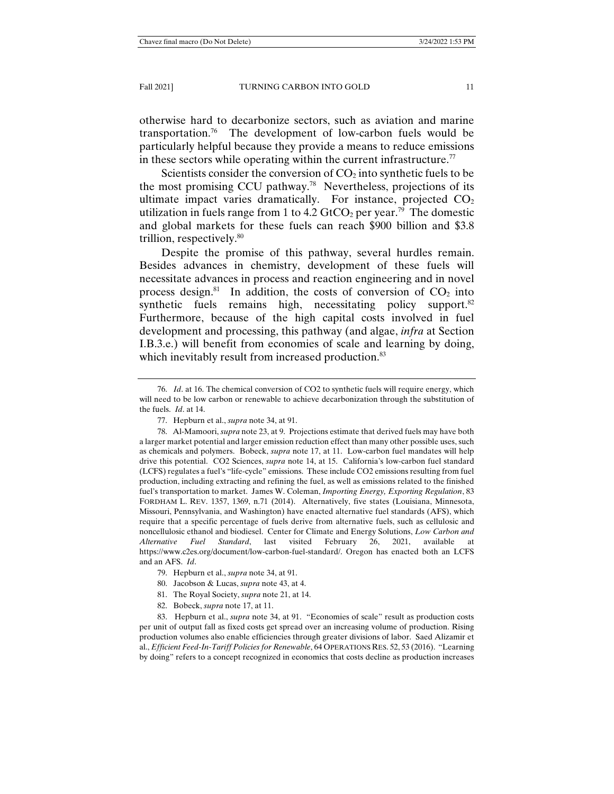otherwise hard to decarbonize sectors, such as aviation and marine transportation.76 The development of low-carbon fuels would be particularly helpful because they provide a means to reduce emissions in these sectors while operating within the current infrastructure.<sup>77</sup>

Scientists consider the conversion of  $CO<sub>2</sub>$  into synthetic fuels to be the most promising CCU pathway.78 Nevertheless, projections of its ultimate impact varies dramatically. For instance, projected  $CO<sub>2</sub>$ utilization in fuels range from 1 to 4.2  $GtCO<sub>2</sub>$  per year.<sup>79</sup> The domestic and global markets for these fuels can reach \$900 billion and \$3.8 trillion, respectively.80

Despite the promise of this pathway, several hurdles remain. Besides advances in chemistry, development of these fuels will necessitate advances in process and reaction engineering and in novel process design.<sup>81</sup> In addition, the costs of conversion of  $CO<sub>2</sub>$  into synthetic fuels remains high, necessitating policy support. $82$ Furthermore, because of the high capital costs involved in fuel development and processing, this pathway (and algae, *infra* at Section I.B.3.e.) will benefit from economies of scale and learning by doing, which inevitably result from increased production.<sup>83</sup>

 83. Hepburn et al., *supra* note 34, at 91. "Economies of scale" result as production costs per unit of output fall as fixed costs get spread over an increasing volume of production. Rising production volumes also enable efficiencies through greater divisions of labor. Saed Alizamir et al., *Efficient Feed-In-Tariff Policies for Renewable*, 64 OPERATIONS RES. 52, 53 (2016). "Learning by doing" refers to a concept recognized in economics that costs decline as production increases

 <sup>76.</sup> *Id*. at 16. The chemical conversion of CO2 to synthetic fuels will require energy, which will need to be low carbon or renewable to achieve decarbonization through the substitution of the fuels. *Id*. at 14.

 <sup>77.</sup> Hepburn et al., *supra* note 34, at 91.

 <sup>78.</sup> Al-Mamoori, *supra* note 23, at 9. Projections estimate that derived fuels may have both a larger market potential and larger emission reduction effect than many other possible uses, such as chemicals and polymers. Bobeck, *supra* note 17, at 11. Low-carbon fuel mandates will help drive this potential. CO2 Sciences, *supra* note 14, at 15. California's low-carbon fuel standard (LCFS) regulates a fuel's "life-cycle" emissions. These include CO2 emissions resulting from fuel production, including extracting and refining the fuel, as well as emissions related to the finished fuel's transportation to market. James W. Coleman, *Importing Energy, Exporting Regulation*, 83 FORDHAM L. REV. 1357, 1369, n.71 (2014). Alternatively, five states (Louisiana, Minnesota, Missouri, Pennsylvania, and Washington) have enacted alternative fuel standards (AFS), which require that a specific percentage of fuels derive from alternative fuels, such as cellulosic and noncellulosic ethanol and biodiesel. Center for Climate and Energy Solutions, *Low Carbon and Alternative Fuel Standard*, last visited February 26, 2021, available at https://www.c2es.org/document/low-carbon-fuel-standard/. Oregon has enacted both an LCFS and an AFS. *Id*.

 <sup>79.</sup> Hepburn et al., *supra* note 34, at 91.

 <sup>80.</sup> Jacobson & Lucas, *supra* note 43, at 4.

 <sup>81.</sup> The Royal Society, *supra* note 21, at 14.

 <sup>82.</sup> Bobeck, *supra* note 17, at 11.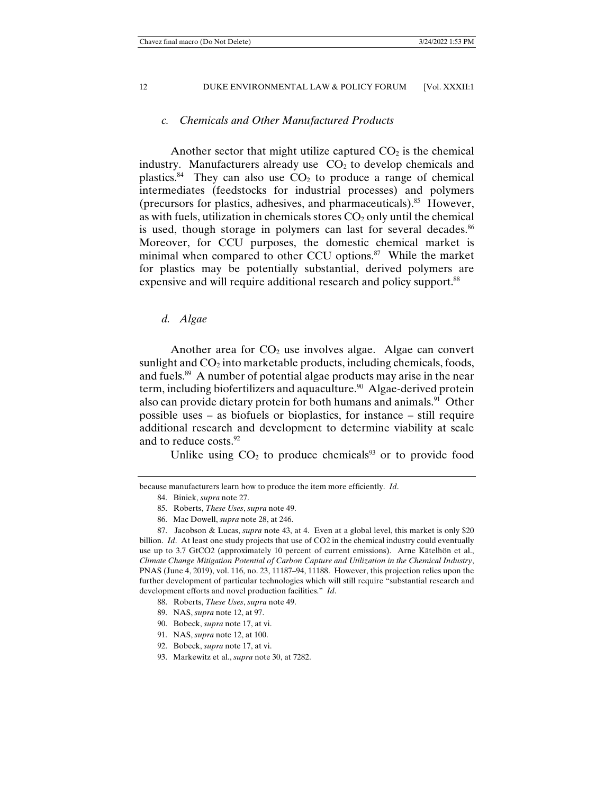## *c. Chemicals and Other Manufactured Products*

Another sector that might utilize captured  $CO<sub>2</sub>$  is the chemical industry. Manufacturers already use  $CO<sub>2</sub>$  to develop chemicals and plastics.<sup>84</sup> They can also use  $CO<sub>2</sub>$  to produce a range of chemical intermediates (feedstocks for industrial processes) and polymers (precursors for plastics, adhesives, and pharmaceuticals).<sup>85</sup> However, as with fuels, utilization in chemicals stores  $CO<sub>2</sub>$  only until the chemical is used, though storage in polymers can last for several decades.<sup>86</sup> Moreover, for CCU purposes, the domestic chemical market is minimal when compared to other CCU options.<sup>87</sup> While the market for plastics may be potentially substantial, derived polymers are expensive and will require additional research and policy support.<sup>88</sup>

#### *d. Algae*

Another area for  $CO<sub>2</sub>$  use involves algae. Algae can convert sunlight and  $CO<sub>2</sub>$  into marketable products, including chemicals, foods, and fuels.89 A number of potential algae products may arise in the near term, including biofertilizers and aquaculture.<sup>90</sup> Algae-derived protein also can provide dietary protein for both humans and animals.<sup>91</sup> Other possible uses – as biofuels or bioplastics, for instance – still require additional research and development to determine viability at scale and to reduce costs.<sup>92</sup>

Unlike using  $CO<sub>2</sub>$  to produce chemicals<sup>93</sup> or to provide food

86. Mac Dowell, *supra* note 28, at 246.

90. Bobeck, *supra* note 17, at vi.

- 92. Bobeck, *supra* note 17, at vi.
- 93. Markewitz et al., *supra* note 30, at 7282.

because manufacturers learn how to produce the item more efficiently. *Id*.

 <sup>84.</sup> Biniek, *supra* note 27.

 <sup>85.</sup> Roberts, *These Uses*, *supra* note 49.

 <sup>87.</sup> Jacobson & Lucas, *supra* note 43, at 4. Even at a global level, this market is only \$20 billion. *Id*. At least one study projects that use of CO2 in the chemical industry could eventually use up to 3.7 GtCO2 (approximately 10 percent of current emissions). Arne Kätelhön et al., *Climate Change Mitigation Potential of Carbon Capture and Utilization in the Chemical Industry*, PNAS (June 4, 2019), vol. 116, no. 23, 11187–94, 11188. However, this projection relies upon the further development of particular technologies which will still require "substantial research and development efforts and novel production facilities." *Id*.

 <sup>88.</sup> Roberts, *These Uses*, *supra* note 49.

 <sup>89.</sup> NAS, *supra* note 12, at 97.

 <sup>91.</sup> NAS, *supra* note 12, at 100.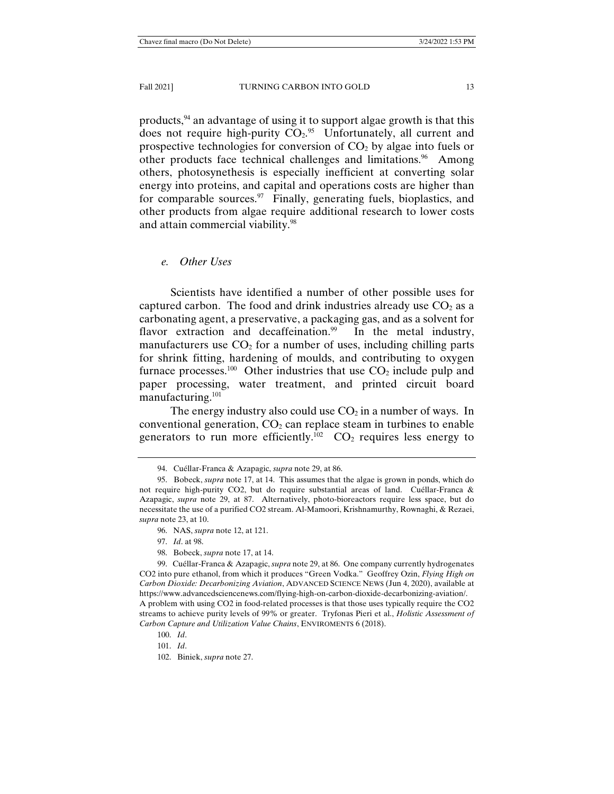products,94 an advantage of using it to support algae growth is that this does not require high-purity  $CO<sub>2</sub>$ .<sup>95</sup> Unfortunately, all current and prospective technologies for conversion of  $CO<sub>2</sub>$  by algae into fuels or other products face technical challenges and limitations.<sup>96</sup> Among others, photosynethesis is especially inefficient at converting solar energy into proteins, and capital and operations costs are higher than for comparable sources. $97$  Finally, generating fuels, bioplastics, and other products from algae require additional research to lower costs and attain commercial viability.<sup>98</sup>

*e. Other Uses* 

 Scientists have identified a number of other possible uses for captured carbon. The food and drink industries already use  $CO<sub>2</sub>$  as a carbonating agent, a preservative, a packaging gas, and as a solvent for flavor extraction and decaffeination.<sup>99</sup> In the metal industry, manufacturers use  $CO<sub>2</sub>$  for a number of uses, including chilling parts for shrink fitting, hardening of moulds, and contributing to oxygen furnace processes.<sup>100</sup> Other industries that use  $CO<sub>2</sub>$  include pulp and paper processing, water treatment, and printed circuit board manufacturing.101

The energy industry also could use  $CO<sub>2</sub>$  in a number of ways. In conventional generation,  $CO<sub>2</sub>$  can replace steam in turbines to enable generators to run more efficiently.<sup>102</sup>  $CO<sub>2</sub>$  requires less energy to

 <sup>94.</sup> Cuéllar-Franca & Azapagic, *supra* note 29, at 86.

 <sup>95.</sup> Bobeck, *supra* note 17, at 14. This assumes that the algae is grown in ponds, which do not require high-purity CO2, but do require substantial areas of land. Cuéllar-Franca & Azapagic, *supra* note 29, at 87. Alternatively, photo-bioreactors require less space, but do necessitate the use of a purified CO2 stream. Al-Mamoori, Krishnamurthy, Rownaghi, & Rezaei, *supra* note 23, at 10.

 <sup>96.</sup> NAS, *supra* note 12, at 121.

 <sup>97.</sup> *Id*. at 98.

 <sup>98.</sup> Bobeck, *supra* note 17, at 14.

 <sup>99.</sup> Cuéllar-Franca & Azapagic, *supra* note 29, at 86. One company currently hydrogenates CO2 into pure ethanol, from which it produces "Green Vodka." Geoffrey Ozin, *Flying High on Carbon Dioxide: Decarbonizing Aviation*, ADVANCED SCIENCE NEWS (Jun 4, 2020), available at https://www.advancedsciencenews.com/flying-high-on-carbon-dioxide-decarbonizing-aviation/. A problem with using CO2 in food-related processes is that those uses typically require the CO2 streams to achieve purity levels of 99% or greater. Tryfonas Pieri et al., *Holistic Assessment of Carbon Capture and Utilization Value Chains*, ENVIROMENTS 6 (2018).

 <sup>100.</sup> *Id*.

 <sup>101.</sup> *Id*.

 <sup>102.</sup> Biniek, *supra* note 27.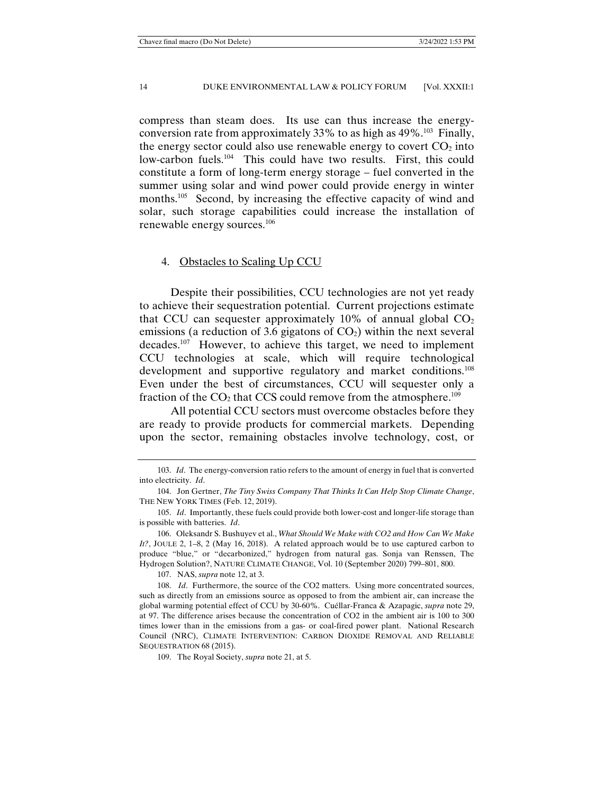compress than steam does. Its use can thus increase the energyconversion rate from approximately 33% to as high as  $49\%$ .<sup>103</sup> Finally, the energy sector could also use renewable energy to covert  $CO<sub>2</sub>$  into low-carbon fuels.<sup>104</sup> This could have two results. First, this could constitute a form of long-term energy storage – fuel converted in the summer using solar and wind power could provide energy in winter months.<sup>105</sup> Second, by increasing the effective capacity of wind and solar, such storage capabilities could increase the installation of renewable energy sources.106

#### 4. Obstacles to Scaling Up CCU

 Despite their possibilities, CCU technologies are not yet ready to achieve their sequestration potential. Current projections estimate that CCU can sequester approximately 10% of annual global  $CO<sub>2</sub>$ emissions (a reduction of 3.6 gigatons of  $CO<sub>2</sub>$ ) within the next several decades.107 However, to achieve this target, we need to implement CCU technologies at scale, which will require technological development and supportive regulatory and market conditions.<sup>108</sup> Even under the best of circumstances, CCU will sequester only a fraction of the  $CO<sub>2</sub>$  that CCS could remove from the atmosphere.<sup>109</sup>

 All potential CCU sectors must overcome obstacles before they are ready to provide products for commercial markets. Depending upon the sector, remaining obstacles involve technology, cost, or

107. NAS, *supra* note 12, at 3.

109. The Royal Society, *supra* note 21, at 5.

 <sup>103.</sup> *Id*. The energy-conversion ratio refers to the amount of energy in fuel that is converted into electricity. *Id*.

 <sup>104.</sup> Jon Gertner, *The Tiny Swiss Company That Thinks It Can Help Stop Climate Change*, THE NEW YORK TIMES (Feb. 12, 2019).

 <sup>105.</sup> *Id*. Importantly, these fuels could provide both lower-cost and longer-life storage than is possible with batteries. *Id*.

 <sup>106.</sup> Oleksandr S. Bushuyev et al., *What Should We Make with CO2 and How Can We Make It?*, JOULE 2, 1–8, 2 (May 16, 2018). A related approach would be to use captured carbon to produce "blue," or "decarbonized," hydrogen from natural gas. Sonja van Renssen, The Hydrogen Solution?, NATURE CLIMATE CHANGE, Vol. 10 (September 2020) 799–801, 800.

 <sup>108.</sup> *Id*. Furthermore, the source of the CO2 matters. Using more concentrated sources, such as directly from an emissions source as opposed to from the ambient air, can increase the global warming potential effect of CCU by 30-60%. Cuéllar-Franca & Azapagic, *supra* note 29, at 97. The difference arises because the concentration of CO2 in the ambient air is 100 to 300 times lower than in the emissions from a gas- or coal-fired power plant. National Research Council (NRC), CLIMATE INTERVENTION: CARBON DIOXIDE REMOVAL AND RELIABLE SEQUESTRATION 68 (2015).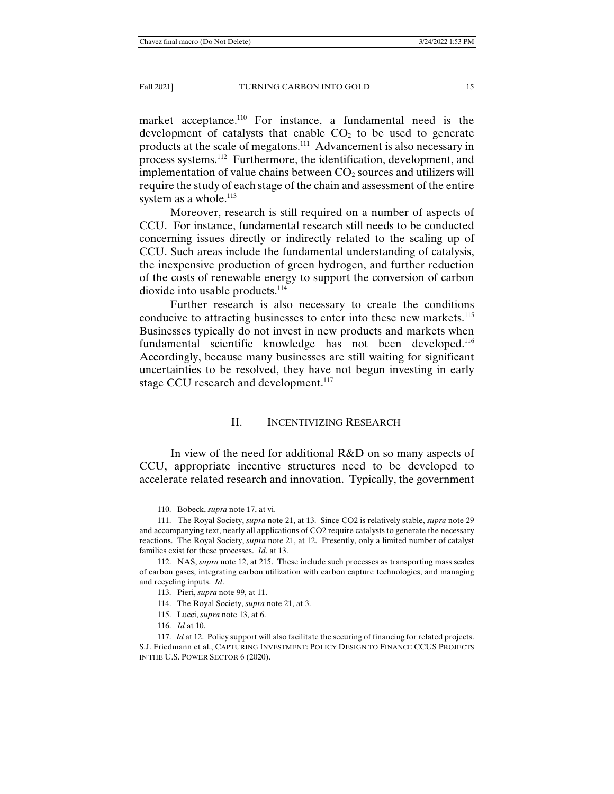market acceptance.<sup>110</sup> For instance, a fundamental need is the development of catalysts that enable  $CO<sub>2</sub>$  to be used to generate products at the scale of megatons.111 Advancement is also necessary in process systems.112 Furthermore, the identification, development, and implementation of value chains between  $CO<sub>2</sub>$  sources and utilizers will require the study of each stage of the chain and assessment of the entire system as a whole. $^{113}$ 

 Moreover, research is still required on a number of aspects of CCU. For instance, fundamental research still needs to be conducted concerning issues directly or indirectly related to the scaling up of CCU. Such areas include the fundamental understanding of catalysis, the inexpensive production of green hydrogen, and further reduction of the costs of renewable energy to support the conversion of carbon dioxide into usable products.<sup>114</sup>

 Further research is also necessary to create the conditions conducive to attracting businesses to enter into these new markets.<sup>115</sup> Businesses typically do not invest in new products and markets when fundamental scientific knowledge has not been developed.116 Accordingly, because many businesses are still waiting for significant uncertainties to be resolved, they have not begun investing in early stage CCU research and development.<sup>117</sup>

#### II. INCENTIVIZING RESEARCH

 In view of the need for additional R&D on so many aspects of CCU, appropriate incentive structures need to be developed to accelerate related research and innovation. Typically, the government

 <sup>110.</sup> Bobeck, *supra* note 17, at vi.

 <sup>111.</sup> The Royal Society, *supra* note 21, at 13. Since CO2 is relatively stable, *supra* note 29 and accompanying text, nearly all applications of CO2 require catalysts to generate the necessary reactions. The Royal Society, *supra* note 21, at 12. Presently, only a limited number of catalyst families exist for these processes. *Id*. at 13.

 <sup>112.</sup> NAS, *supra* note 12, at 215. These include such processes as transporting mass scales of carbon gases, integrating carbon utilization with carbon capture technologies, and managing and recycling inputs. *Id*.

 <sup>113.</sup> Pieri, *supra* note 99, at 11.

 <sup>114.</sup> The Royal Society, *supra* note 21, at 3.

 <sup>115.</sup> Lucci, *supra* note 13, at 6.

 <sup>116.</sup> *Id* at 10.

 <sup>117.</sup> *Id* at 12. Policy support will also facilitate the securing of financing for related projects. S.J. Friedmann et al., CAPTURING INVESTMENT: POLICY DESIGN TO FINANCE CCUS PROJECTS IN THE U.S. POWER SECTOR 6 (2020).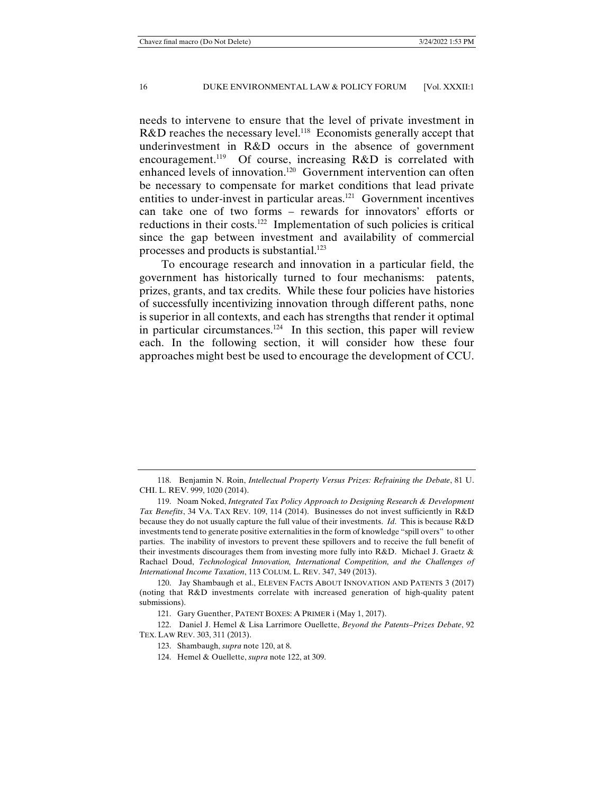needs to intervene to ensure that the level of private investment in R&D reaches the necessary level.<sup>118</sup> Economists generally accept that underinvestment in R&D occurs in the absence of government encouragement.<sup>119</sup> Of course, increasing  $R&D$  is correlated with enhanced levels of innovation.120 Government intervention can often be necessary to compensate for market conditions that lead private entities to under-invest in particular areas.<sup>121</sup> Government incentives can take one of two forms – rewards for innovators' efforts or reductions in their costs.<sup>122</sup> Implementation of such policies is critical since the gap between investment and availability of commercial processes and products is substantial.123

To encourage research and innovation in a particular field, the government has historically turned to four mechanisms: patents, prizes, grants, and tax credits. While these four policies have histories of successfully incentivizing innovation through different paths, none is superior in all contexts, and each has strengths that render it optimal in particular circumstances.<sup>124</sup> In this section, this paper will review each. In the following section, it will consider how these four approaches might best be used to encourage the development of CCU.

 <sup>118.</sup> Benjamin N. Roin, *Intellectual Property Versus Prizes: Refraining the Debate*, 81 U. CHI. L. REV. 999, 1020 (2014).

 <sup>119.</sup> Noam Noked, *Integrated Tax Policy Approach to Designing Research & Development Tax Benefits*, 34 VA. TAX REV. 109, 114 (2014). Businesses do not invest sufficiently in R&D because they do not usually capture the full value of their investments. *Id*. This is because R&D investments tend to generate positive externalities in the form of knowledge "spill overs" to other parties. The inability of investors to prevent these spillovers and to receive the full benefit of their investments discourages them from investing more fully into R&D. Michael J. Graetz & Rachael Doud, *Technological Innovation, International Competition, and the Challenges of International Income Taxation*, 113 COLUM. L. REV. 347, 349 (2013).

 <sup>120.</sup> Jay Shambaugh et al., ELEVEN FACTS ABOUT INNOVATION AND PATENTS 3 (2017) (noting that R&D investments correlate with increased generation of high-quality patent submissions).

 <sup>121.</sup> Gary Guenther, PATENT BOXES: A PRIMER i (May 1, 2017).

 <sup>122.</sup> Daniel J. Hemel & Lisa Larrimore Ouellette, *Beyond the Patents–Prizes Debate*, 92 TEX. LAW REV. 303, 311 (2013).

 <sup>123.</sup> Shambaugh, *supra* note 120, at 8.

 <sup>124.</sup> Hemel & Ouellette, *supra* note 122, at 309.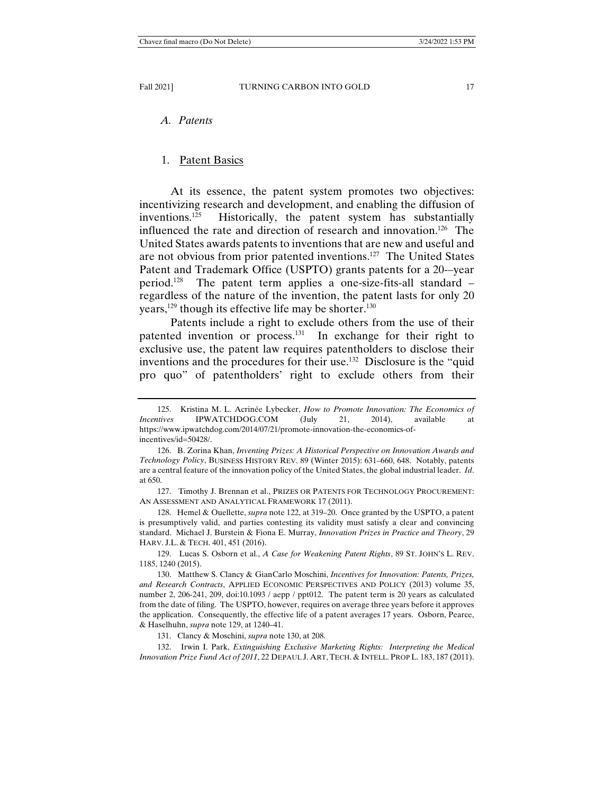# *A. Patents*

#### 1. Patent Basics

 At its essence, the patent system promotes two objectives: incentivizing research and development, and enabling the diffusion of inventions.125 Historically, the patent system has substantially influenced the rate and direction of research and innovation.<sup>126</sup> The United States awards patents to inventions that are new and useful and are not obvious from prior patented inventions.127 The United States Patent and Trademark Office (USPTO) grants patents for a 20-–year period.<sup>128</sup> The patent term applies a one-size-fits-all standard  $$ regardless of the nature of the invention, the patent lasts for only 20 years,<sup>129</sup> though its effective life may be shorter.<sup>130</sup>

 Patents include a right to exclude others from the use of their patented invention or process.<sup>131</sup> In exchange for their right to exclusive use, the patent law requires patentholders to disclose their inventions and the procedures for their use.132 Disclosure is the "quid pro quo" of patentholders' right to exclude others from their

 127. Timothy J. Brennan et al., PRIZES OR PATENTS FOR TECHNOLOGY PROCUREMENT: AN ASSESSMENT AND ANALYTICAL FRAMEWORK 17 (2011).

 128. Hemel & Ouellette, *supra* note 122, at 319–20. Once granted by the USPTO, a patent is presumptively valid, and parties contesting its validity must satisfy a clear and convincing standard. Michael J. Burstein & Fiona E. Murray, *Innovation Prizes in Practice and Theory*, 29 HARV. J.L. & TECH. 401, 451 (2016).

 129. Lucas S. Osborn et al., *A Case for Weakening Patent Rights*, 89 ST. JOHN'S L. REV. 1185, 1240 (2015).

 130. Matthew S. Clancy & GianCarlo Moschini, *Incentives for Innovation: Patents, Prizes, and Research Contracts*, APPLIED ECONOMIC PERSPECTIVES AND POLICY (2013) volume 35, number 2, 206-241, 209, doi:10.1093 / aepp / ppt012. The patent term is 20 years as calculated from the date of filing. The USPTO, however, requires on average three years before it approves the application. Consequently, the effective life of a patent averages 17 years. Osborn, Pearce, & Haselhuhn, *supra* note 129, at 1240–41.

131. Clancy & Moschini, *supra* note 130, at 208.

 132. Irwin I. Park, *Extinguishing Exclusive Marketing Rights: Interpreting the Medical Innovation Prize Fund Act of 2011*, 22 DEPAUL J. ART, TECH. & INTELL. PROP L. 183, 187 (2011).

 <sup>125.</sup> Kristina M. L. Acrinée Lybecker, *How to Promote Innovation: The Economics of Incentives* IPWATCHDOG.COM (July 21, 2014), available at https://www.ipwatchdog.com/2014/07/21/promote-innovation-the-economics-ofincentives/id=50428/.

 <sup>126.</sup> B. Zorina Khan, *Inventing Prizes: A Historical Perspective on Innovation Awards and Technology Policy*, BUSINESS HISTORY REV. 89 (Winter 2015): 631–660, 648. Notably, patents are a central feature of the innovation policy of the United States, the global industrial leader. *Id*. at 650.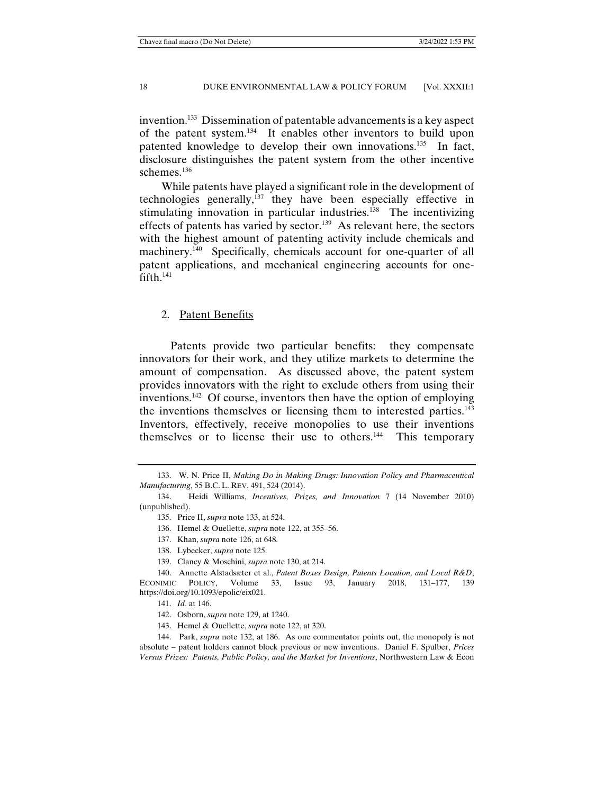invention.133 Dissemination of patentable advancements is a key aspect of the patent system.134 It enables other inventors to build upon patented knowledge to develop their own innovations.135 In fact, disclosure distinguishes the patent system from the other incentive schemes.<sup>136</sup>

While patents have played a significant role in the development of technologies generally, $137$  they have been especially effective in stimulating innovation in particular industries.<sup>138</sup> The incentivizing effects of patents has varied by sector.<sup>139</sup> As relevant here, the sectors with the highest amount of patenting activity include chemicals and machinery.<sup>140</sup> Specifically, chemicals account for one-quarter of all patent applications, and mechanical engineering accounts for onefifth.<sup>141</sup>

## 2. Patent Benefits

 Patents provide two particular benefits: they compensate innovators for their work, and they utilize markets to determine the amount of compensation. As discussed above, the patent system provides innovators with the right to exclude others from using their inventions.142 Of course, inventors then have the option of employing the inventions themselves or licensing them to interested parties.<sup>143</sup> Inventors, effectively, receive monopolies to use their inventions themselves or to license their use to others.<sup>144</sup> This temporary

- 136. Hemel & Ouellette, *supra* note 122, at 355–56.
- 137. Khan, *supra* note 126, at 648.
- 138. Lybecker, *supra* note 125.
- 139. Clancy & Moschini, *supra* note 130, at 214.

 140. Annette Alstadsæter et al., *Patent Boxes Design, Patents Location, and Local R&D*, ECONIMIC POLICY, Volume 33, Issue 93, January 2018, 131–177, 139 https://doi.org/10.1093/epolic/eix021.

143. Hemel & Ouellette, *supra* note 122, at 320.

 <sup>133.</sup> W. N. Price II, *Making Do in Making Drugs: Innovation Policy and Pharmaceutical Manufacturing*, 55 B.C. L. REV. 491, 524 (2014).

 <sup>134.</sup> Heidi Williams, *Incentives, Prizes, and Innovation* 7 (14 November 2010) (unpublished).

 <sup>135.</sup> Price II, *supra* note 133, at 524.

 <sup>141.</sup> *Id*. at 146.

 <sup>142.</sup> Osborn, *supra* note 129, at 1240.

 <sup>144.</sup> Park, *supra* note 132, at 186. As one commentator points out, the monopoly is not absolute – patent holders cannot block previous or new inventions. Daniel F. Spulber, *Prices Versus Prizes: Patents, Public Policy, and the Market for Inventions*, Northwestern Law & Econ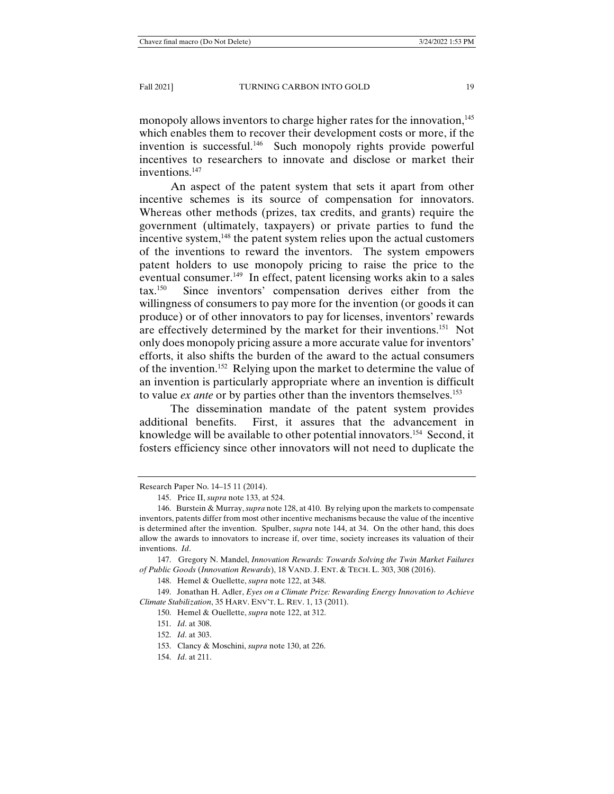monopoly allows inventors to charge higher rates for the innovation.<sup>145</sup> which enables them to recover their development costs or more, if the invention is successful.<sup>146</sup> Such monopoly rights provide powerful incentives to researchers to innovate and disclose or market their inventions.<sup>147</sup>

 An aspect of the patent system that sets it apart from other incentive schemes is its source of compensation for innovators. Whereas other methods (prizes, tax credits, and grants) require the government (ultimately, taxpayers) or private parties to fund the incentive system,<sup>148</sup> the patent system relies upon the actual customers of the inventions to reward the inventors. The system empowers patent holders to use monopoly pricing to raise the price to the eventual consumer.<sup>149</sup> In effect, patent licensing works akin to a sales tax.150 Since inventors' compensation derives either from the willingness of consumers to pay more for the invention (or goods it can produce) or of other innovators to pay for licenses, inventors' rewards are effectively determined by the market for their inventions.<sup>151</sup> Not only does monopoly pricing assure a more accurate value for inventors' efforts, it also shifts the burden of the award to the actual consumers of the invention.152 Relying upon the market to determine the value of an invention is particularly appropriate where an invention is difficult to value *ex ante* or by parties other than the inventors themselves.153

 The dissemination mandate of the patent system provides additional benefits. First, it assures that the advancement in knowledge will be available to other potential innovators.154 Second, it fosters efficiency since other innovators will not need to duplicate the

 147. Gregory N. Mandel, *Innovation Rewards: Towards Solving the Twin Market Failures of Public Goods* (*Innovation Rewards*), 18 VAND. J. ENT. & TECH. L. 303, 308 (2016).

148. Hemel & Ouellette, *supra* note 122, at 348.

 149. Jonathan H. Adler, *Eyes on a Climate Prize: Rewarding Energy Innovation to Achieve Climate Stabilization*, 35 HARV. ENV'T. L. REV. 1, 13 (2011).

150. Hemel & Ouellette, *supra* note 122, at 312.

151. *Id*. at 308.

154. *Id*. at 211.

Research Paper No. 14–15 11 (2014).

 <sup>145.</sup> Price II, *supra* note 133, at 524.

 <sup>146.</sup> Burstein & Murray, *supra* note 128, at 410. By relying upon the markets to compensate inventors, patents differ from most other incentive mechanisms because the value of the incentive is determined after the invention. Spulber, *supra* note 144, at 34. On the other hand, this does allow the awards to innovators to increase if, over time, society increases its valuation of their inventions. *Id*.

 <sup>152.</sup> *Id*. at 303.

 <sup>153.</sup> Clancy & Moschini, *supra* note 130, at 226.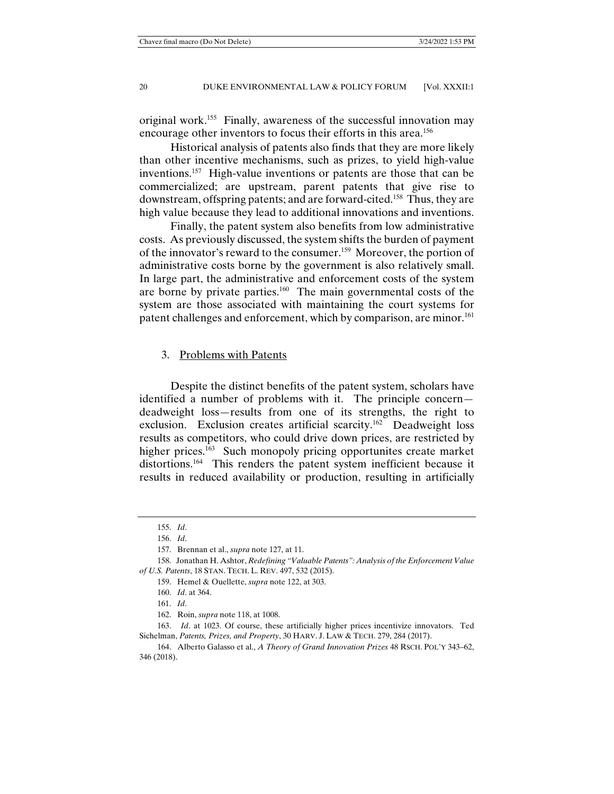original work.155 Finally, awareness of the successful innovation may encourage other inventors to focus their efforts in this area.156

 Historical analysis of patents also finds that they are more likely than other incentive mechanisms, such as prizes, to yield high-value inventions.157 High-value inventions or patents are those that can be commercialized; are upstream, parent patents that give rise to downstream, offspring patents; and are forward-cited.158 Thus, they are high value because they lead to additional innovations and inventions.

 Finally, the patent system also benefits from low administrative costs. As previously discussed, the system shifts the burden of payment of the innovator's reward to the consumer.159 Moreover, the portion of administrative costs borne by the government is also relatively small. In large part, the administrative and enforcement costs of the system are borne by private parties.160 The main governmental costs of the system are those associated with maintaining the court systems for patent challenges and enforcement, which by comparison, are minor.<sup>161</sup>

## 3. Problems with Patents

 Despite the distinct benefits of the patent system, scholars have identified a number of problems with it. The principle concern deadweight loss—results from one of its strengths, the right to exclusion. Exclusion creates artificial scarcity.<sup>162</sup> Deadweight loss results as competitors, who could drive down prices, are restricted by higher prices.<sup>163</sup> Such monopoly pricing opportunites create market distortions.<sup>164</sup> This renders the patent system inefficient because it results in reduced availability or production, resulting in artificially

 <sup>155.</sup> *Id*.

 <sup>156.</sup> *Id*.

 <sup>157.</sup> Brennan et al., *supra* note 127, at 11.

 <sup>158.</sup> Jonathan H. Ashtor, *Redefining "Valuable Patents": Analysis of the Enforcement Value of U.S. Patents*, 18 STAN. TECH. L. REV. 497, 532 (2015).

 <sup>159.</sup> Hemel & Ouellette, *supra* note 122, at 303.

 <sup>160.</sup> *Id*. at 364.

 <sup>161.</sup> *Id*.

 <sup>162.</sup> Roin, *supra* note 118, at 1008.

 <sup>163.</sup> *Id*. at 1023. Of course, these artificially higher prices incentivize innovators. Ted Sichelman, *Patents, Prizes, and Property*, 30 HARV. J. LAW & TECH. 279, 284 (2017).

 <sup>164.</sup> Alberto Galasso et al., *A Theory of Grand Innovation Prizes* 48 RSCH. POL'Y 343–62, 346 (2018).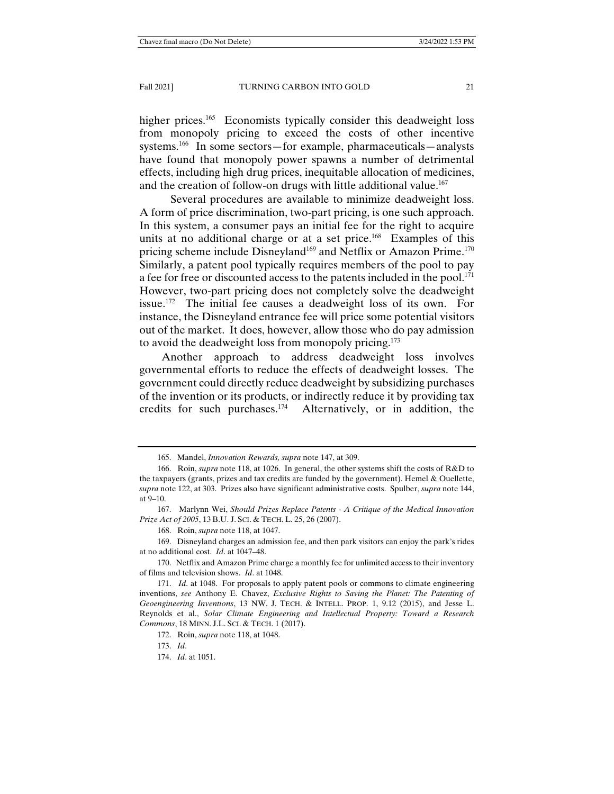higher prices.<sup>165</sup> Economists typically consider this deadweight loss from monopoly pricing to exceed the costs of other incentive systems.<sup>166</sup> In some sectors—for example, pharmaceuticals—analysts have found that monopoly power spawns a number of detrimental effects, including high drug prices, inequitable allocation of medicines, and the creation of follow-on drugs with little additional value.<sup>167</sup>

 Several procedures are available to minimize deadweight loss. A form of price discrimination, two-part pricing, is one such approach. In this system, a consumer pays an initial fee for the right to acquire units at no additional charge or at a set price.<sup>168</sup> Examples of this pricing scheme include Disneyland<sup>169</sup> and Netflix or Amazon Prime.<sup>170</sup> Similarly, a patent pool typically requires members of the pool to pay a fee for free or discounted access to the patents included in the pool.<sup>171</sup> However, two-part pricing does not completely solve the deadweight issue.172 The initial fee causes a deadweight loss of its own. For instance, the Disneyland entrance fee will price some potential visitors out of the market. It does, however, allow those who do pay admission to avoid the deadweight loss from monopoly pricing.<sup>173</sup>

Another approach to address deadweight loss involves governmental efforts to reduce the effects of deadweight losses. The government could directly reduce deadweight by subsidizing purchases of the invention or its products, or indirectly reduce it by providing tax credits for such purchases.174 Alternatively, or in addition, the

 167. Marlynn Wei, *Should Prizes Replace Patents - A Critique of the Medical Innovation Prize Act of 2005*, 13 B.U. J. SCI. & TECH. L. 25, 26 (2007).

168. Roin, *supra* note 118, at 1047.

 170. Netflix and Amazon Prime charge a monthly fee for unlimited access to their inventory of films and television shows. *Id*. at 1048.

 171. *Id*. at 1048. For proposals to apply patent pools or commons to climate engineering inventions, *see* Anthony E. Chavez, *Exclusive Rights to Saving the Planet: The Patenting of Geoengineering Inventions*, 13 NW. J. TECH. & INTELL. PROP. 1, 9.12 (2015), and Jesse L. Reynolds et al., *Solar Climate Engineering and Intellectual Property: Toward a Research Commons*, 18 MINN. J.L. SCI. & TECH. 1 (2017).

172. Roin, *supra* note 118, at 1048.

 <sup>165.</sup> Mandel, *Innovation Rewards, supra* note 147, at 309.

 <sup>166.</sup> Roin, *supra* note 118, at 1026. In general, the other systems shift the costs of R&D to the taxpayers (grants, prizes and tax credits are funded by the government). Hemel & Ouellette, *supra* note 122, at 303. Prizes also have significant administrative costs. Spulber, *supra* note 144, at 9–10.

 <sup>169.</sup> Disneyland charges an admission fee, and then park visitors can enjoy the park's rides at no additional cost. *Id*. at 1047–48.

 <sup>173.</sup> *Id*.

 <sup>174.</sup> *Id*. at 1051.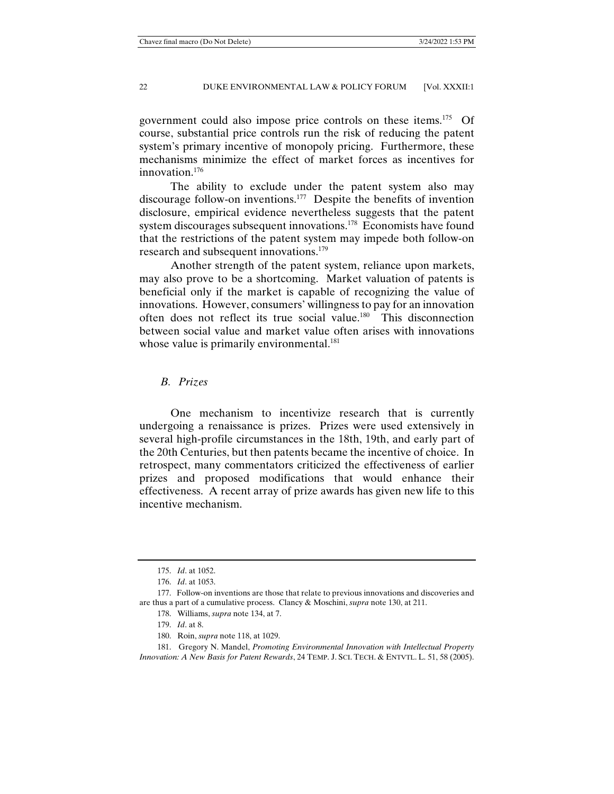government could also impose price controls on these items.175 Of course, substantial price controls run the risk of reducing the patent system's primary incentive of monopoly pricing. Furthermore, these mechanisms minimize the effect of market forces as incentives for innovation.176

 The ability to exclude under the patent system also may discourage follow-on inventions.177 Despite the benefits of invention disclosure, empirical evidence nevertheless suggests that the patent system discourages subsequent innovations.<sup>178</sup> Economists have found that the restrictions of the patent system may impede both follow-on research and subsequent innovations.<sup>179</sup>

 Another strength of the patent system, reliance upon markets, may also prove to be a shortcoming. Market valuation of patents is beneficial only if the market is capable of recognizing the value of innovations. However, consumers' willingness to pay for an innovation often does not reflect its true social value.180 This disconnection between social value and market value often arises with innovations whose value is primarily environmental.<sup>181</sup>

# *B. Prizes*

 One mechanism to incentivize research that is currently undergoing a renaissance is prizes. Prizes were used extensively in several high-profile circumstances in the 18th, 19th, and early part of the 20th Centuries, but then patents became the incentive of choice. In retrospect, many commentators criticized the effectiveness of earlier prizes and proposed modifications that would enhance their effectiveness. A recent array of prize awards has given new life to this incentive mechanism.

180. Roin, *supra* note 118, at 1029.

 <sup>175.</sup> *Id*. at 1052.

 <sup>176.</sup> *Id*. at 1053.

 <sup>177.</sup> Follow-on inventions are those that relate to previous innovations and discoveries and are thus a part of a cumulative process. Clancy & Moschini, *supra* note 130, at 211.

 <sup>178.</sup> Williams, *supra* note 134, at 7.

 <sup>179.</sup> *Id*. at 8.

 <sup>181.</sup> Gregory N. Mandel, *Promoting Environmental Innovation with Intellectual Property Innovation: A New Basis for Patent Rewards*, 24 TEMP. J. SCI. TECH. & ENTVTL. L. 51, 58 (2005).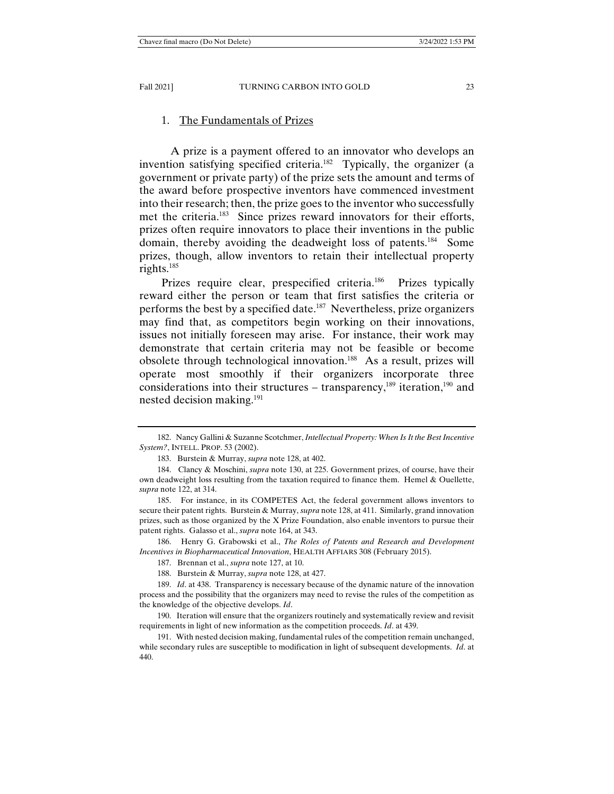#### 1. The Fundamentals of Prizes

 A prize is a payment offered to an innovator who develops an invention satisfying specified criteria.<sup>182</sup> Typically, the organizer (a government or private party) of the prize sets the amount and terms of the award before prospective inventors have commenced investment into their research; then, the prize goes to the inventor who successfully met the criteria.<sup>183</sup> Since prizes reward innovators for their efforts, prizes often require innovators to place their inventions in the public domain, thereby avoiding the deadweight loss of patents.184 Some prizes, though, allow inventors to retain their intellectual property rights.185

Prizes require clear, prespecified criteria.<sup>186</sup> Prizes typically reward either the person or team that first satisfies the criteria or performs the best by a specified date.<sup>187</sup> Nevertheless, prize organizers may find that, as competitors begin working on their innovations, issues not initially foreseen may arise. For instance, their work may demonstrate that certain criteria may not be feasible or become obsolete through technological innovation.188 As a result, prizes will operate most smoothly if their organizers incorporate three considerations into their structures – transparency, $189$  iteration, $190$  and nested decision making.191

 186. Henry G. Grabowski et al., *The Roles of Patents and Research and Development Incentives in Biopharmaceutical Innovation*, HEALTH AFFIARS 308 (February 2015).

 <sup>182.</sup> Nancy Gallini & Suzanne Scotchmer, *Intellectual Property: When Is It the Best Incentive System?*, INTELL. PROP. 53 (2002).

 <sup>183.</sup> Burstein & Murray, *supra* note 128, at 402.

 <sup>184.</sup> Clancy & Moschini, *supra* note 130, at 225. Government prizes, of course, have their own deadweight loss resulting from the taxation required to finance them. Hemel & Ouellette, *supra* note 122, at 314.

 <sup>185.</sup> For instance, in its COMPETES Act, the federal government allows inventors to secure their patent rights. Burstein & Murray, *supra* note 128, at 411. Similarly, grand innovation prizes, such as those organized by the X Prize Foundation, also enable inventors to pursue their patent rights. Galasso et al., *supra* note 164, at 343.

 <sup>187.</sup> Brennan et al., *supra* note 127, at 10.

 <sup>188.</sup> Burstein & Murray, *supra* note 128, at 427.

 <sup>189.</sup> *Id*. at 438. Transparency is necessary because of the dynamic nature of the innovation process and the possibility that the organizers may need to revise the rules of the competition as the knowledge of the objective develops. *Id*.

 <sup>190.</sup> Iteration will ensure that the organizers routinely and systematically review and revisit requirements in light of new information as the competition proceeds. *Id*. at 439.

 <sup>191.</sup> With nested decision making, fundamental rules of the competition remain unchanged, while secondary rules are susceptible to modification in light of subsequent developments. *Id*. at 440.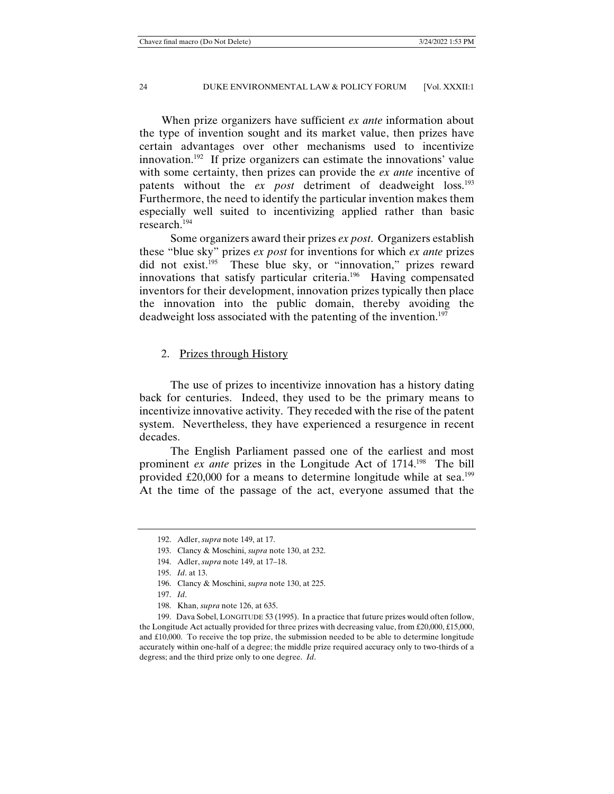When prize organizers have sufficient *ex ante* information about the type of invention sought and its market value, then prizes have certain advantages over other mechanisms used to incentivize innovation.<sup>192</sup> If prize organizers can estimate the innovations' value with some certainty, then prizes can provide the *ex ante* incentive of patents without the *ex post* detriment of deadweight loss.193 Furthermore, the need to identify the particular invention makes them especially well suited to incentivizing applied rather than basic research.194

 Some organizers award their prizes *ex post*. Organizers establish these "blue sky" prizes *ex post* for inventions for which *ex ante* prizes did not exist.<sup>195</sup> These blue sky, or "innovation," prizes reward innovations that satisfy particular criteria.<sup>196</sup> Having compensated inventors for their development, innovation prizes typically then place the innovation into the public domain, thereby avoiding the deadweight loss associated with the patenting of the invention.<sup>197</sup>

## 2. Prizes through History

 The use of prizes to incentivize innovation has a history dating back for centuries. Indeed, they used to be the primary means to incentivize innovative activity. They receded with the rise of the patent system. Nevertheless, they have experienced a resurgence in recent decades.

 The English Parliament passed one of the earliest and most prominent *ex ante* prizes in the Longitude Act of 1714.198 The bill provided  $\pounds20,000$  for a means to determine longitude while at sea.<sup>199</sup> At the time of the passage of the act, everyone assumed that the

 <sup>192.</sup> Adler, *supra* note 149, at 17.

 <sup>193.</sup> Clancy & Moschini, *supra* note 130, at 232.

 <sup>194.</sup> Adler, *supra* note 149, at 17–18.

 <sup>195.</sup> *Id*. at 13.

 <sup>196.</sup> Clancy & Moschini, *supra* note 130, at 225.

 <sup>197.</sup> *Id*.

 <sup>198.</sup> Khan, *supra* note 126, at 635.

 <sup>199.</sup> Dava Sobel, LONGITUDE 53 (1995). In a practice that future prizes would often follow, the Longitude Act actually provided for three prizes with decreasing value, from £20,000, £15,000, and £10,000. To receive the top prize, the submission needed to be able to determine longitude accurately within one-half of a degree; the middle prize required accuracy only to two-thirds of a degress; and the third prize only to one degree. *Id*.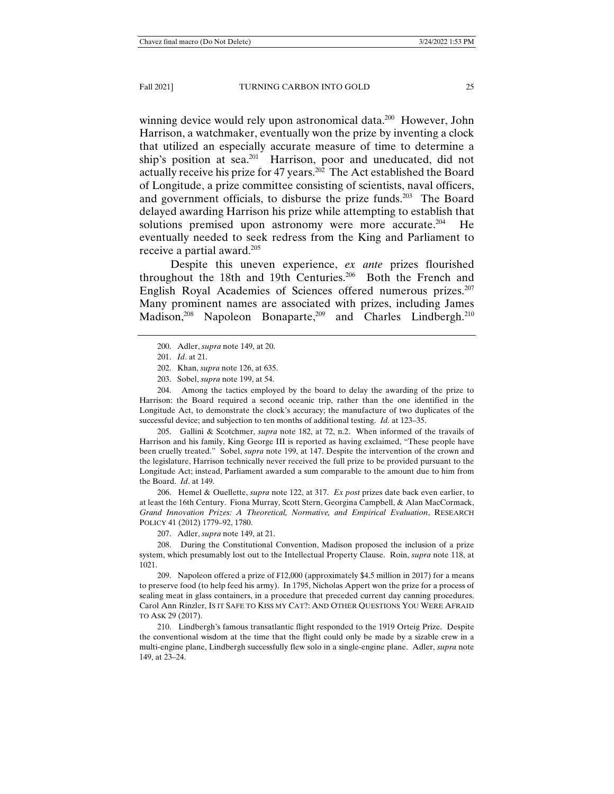winning device would rely upon astronomical data.<sup>200</sup> However, John Harrison, a watchmaker, eventually won the prize by inventing a clock that utilized an especially accurate measure of time to determine a ship's position at sea.<sup>201</sup> Harrison, poor and uneducated, did not actually receive his prize for 47 years.202 The Act established the Board of Longitude, a prize committee consisting of scientists, naval officers, and government officials, to disburse the prize funds.<sup>203</sup> The Board delayed awarding Harrison his prize while attempting to establish that solutions premised upon astronomy were more accurate.<sup>204</sup> He eventually needed to seek redress from the King and Parliament to receive a partial award.205

 Despite this uneven experience, *ex ante* prizes flourished throughout the 18th and 19th Centuries.206 Both the French and English Royal Academies of Sciences offered numerous prizes.<sup>207</sup> Many prominent names are associated with prizes, including James Madison,<sup>208</sup> Napoleon Bonaparte,<sup>209</sup> and Charles Lindbergh.<sup>210</sup>

- 202. Khan, *supra* note 126, at 635.
- 203. Sobel, *supra* note 199, at 54.

 204. Among the tactics employed by the board to delay the awarding of the prize to Harrison: the Board required a second oceanic trip, rather than the one identified in the Longitude Act, to demonstrate the clock's accuracy; the manufacture of two duplicates of the successful device; and subjection to ten months of additional testing. *Id.* at 123–35.

 205. Gallini & Scotchmer, *supra* note 182, at 72, n.2. When informed of the travails of Harrison and his family, King George III is reported as having exclaimed, "These people have been cruelly treated." Sobel, *supra* note 199, at 147. Despite the intervention of the crown and the legislature, Harrison technically never received the full prize to be provided pursuant to the Longitude Act; instead, Parliament awarded a sum comparable to the amount due to him from the Board. *Id*. at 149.

 206. Hemel & Ouellette, *supra* note 122, at 317. *Ex post* prizes date back even earlier, to at least the 16th Century. Fiona Murray, Scott Stern, Georgina Campbell, & Alan MacCormack, *Grand Innovation Prizes: A Theoretical, Normative, and Empirical Evaluation*, RESEARCH POLICY 41 (2012) 1779–92, 1780.

207. Adler, *supra* note 149, at 21.

 208. During the Constitutional Convention, Madison proposed the inclusion of a prize system, which presumably lost out to the Intellectual Property Clause. Roin, *supra* note 118, at 1021.

 209. Napoleon offered a prize of ₣12,000 (approximately \$4.5 million in 2017) for a means to preserve food (to help feed his army). In 1795, Nicholas Appert won the prize for a process of sealing meat in glass containers, in a procedure that preceded current day canning procedures. Carol Ann Rinzler, IS IT SAFE TO KISS MY CAT?: AND OTHER QUESTIONS YOU WERE AFRAID TO ASK 29 (2017).

 210. Lindbergh's famous transatlantic flight responded to the 1919 Orteig Prize. Despite the conventional wisdom at the time that the flight could only be made by a sizable crew in a multi-engine plane, Lindbergh successfully flew solo in a single-engine plane. Adler, *supra* note 149, at 23–24.

 <sup>200.</sup> Adler, *supra* note 149, at 20.

 <sup>201.</sup> *Id*. at 21.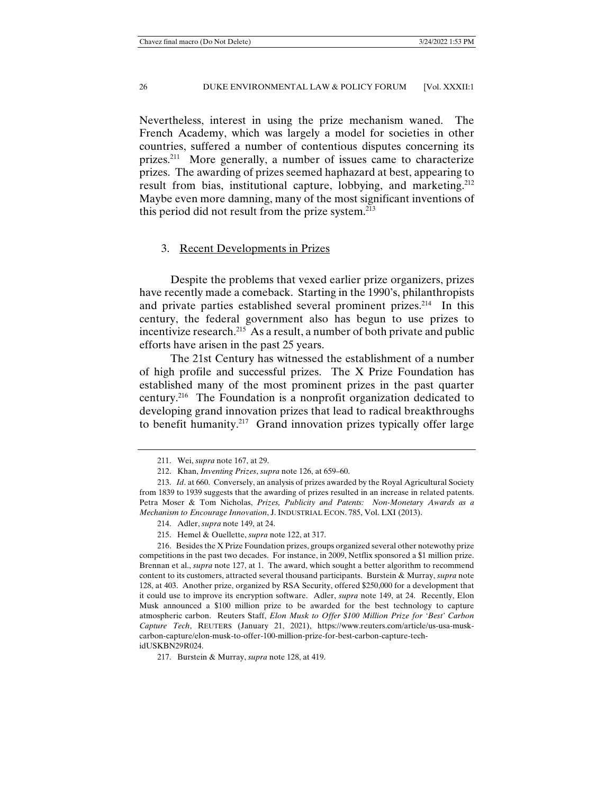Nevertheless, interest in using the prize mechanism waned. The French Academy, which was largely a model for societies in other countries, suffered a number of contentious disputes concerning its prizes.211 More generally, a number of issues came to characterize prizes. The awarding of prizes seemed haphazard at best, appearing to result from bias, institutional capture, lobbying, and marketing.<sup>212</sup> Maybe even more damning, many of the most significant inventions of this period did not result from the prize system.213

## 3. Recent Developments in Prizes

 Despite the problems that vexed earlier prize organizers, prizes have recently made a comeback. Starting in the 1990's, philanthropists and private parties established several prominent prizes.<sup>214</sup> In this century, the federal government also has begun to use prizes to incentivize research.215 As a result, a number of both private and public efforts have arisen in the past 25 years.

 The 21st Century has witnessed the establishment of a number of high profile and successful prizes. The X Prize Foundation has established many of the most prominent prizes in the past quarter century.216 The Foundation is a nonprofit organization dedicated to developing grand innovation prizes that lead to radical breakthroughs to benefit humanity.<sup>217</sup> Grand innovation prizes typically offer large

 <sup>211.</sup> Wei, *supra* note 167, at 29.

 <sup>212.</sup> Khan, *Inventing Prizes*, *supra* note 126, at 659–60.

 <sup>213.</sup> *Id*. at 660. Conversely, an analysis of prizes awarded by the Royal Agricultural Society from 1839 to 1939 suggests that the awarding of prizes resulted in an increase in related patents. Petra Moser & Tom Nicholas, *Prizes, Publicity and Patents: Non-Monetary Awards as a Mechanism to Encourage Innovation*, J. INDUSTRIAL ECON. 785, Vol. LXI (2013).

 <sup>214.</sup> Adler, *supra* note 149, at 24.

 <sup>215.</sup> Hemel & Ouellette, *supra* note 122, at 317.

 <sup>216.</sup> Besides the X Prize Foundation prizes, groups organized several other notewothy prize competitions in the past two decades. For instance, in 2009, Netflix sponsored a \$1 million prize. Brennan et al., *supra* note 127, at 1. The award, which sought a better algorithm to recommend content to its customers, attracted several thousand participants. Burstein & Murray, *supra* note 128, at 403. Another prize, organized by RSA Security, offered \$250,000 for a development that it could use to improve its encryption software. Adler, *supra* note 149, at 24. Recently, Elon Musk announced a \$100 million prize to be awarded for the best technology to capture atmospheric carbon. Reuters Staff, *Elon Musk to Offer \$100 Million Prize for 'Best' Carbon Capture Tech*, REUTERS (January 21, 2021), https://www.reuters.com/article/us-usa-muskcarbon-capture/elon-musk-to-offer-100-million-prize-for-best-carbon-capture-techidUSKBN29R024.

 <sup>217.</sup> Burstein & Murray, *supra* note 128, at 419.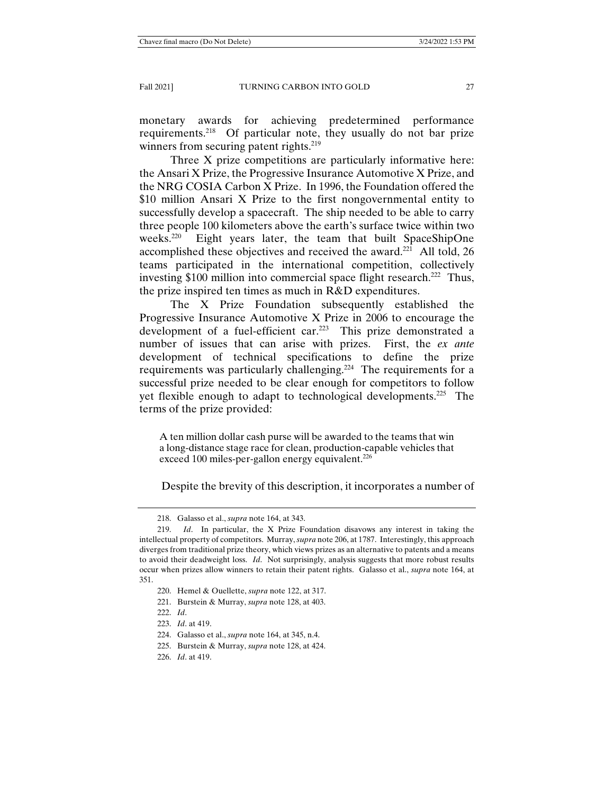monetary awards for achieving predetermined performance requirements.218 Of particular note, they usually do not bar prize winners from securing patent rights.<sup>219</sup>

 Three X prize competitions are particularly informative here: the Ansari X Prize, the Progressive Insurance Automotive X Prize, and the NRG COSIA Carbon X Prize. In 1996, the Foundation offered the \$10 million Ansari X Prize to the first nongovernmental entity to successfully develop a spacecraft. The ship needed to be able to carry three people 100 kilometers above the earth's surface twice within two weeks.220 Eight years later, the team that built SpaceShipOne accomplished these objectives and received the award.<sup>221</sup> All told, 26 teams participated in the international competition, collectively investing \$100 million into commercial space flight research.<sup>222</sup> Thus, the prize inspired ten times as much in R&D expenditures.

 The X Prize Foundation subsequently established the Progressive Insurance Automotive X Prize in 2006 to encourage the development of a fuel-efficient car.<sup>223</sup> This prize demonstrated a number of issues that can arise with prizes. First, the *ex ante* development of technical specifications to define the prize requirements was particularly challenging.<sup>224</sup> The requirements for a successful prize needed to be clear enough for competitors to follow yet flexible enough to adapt to technological developments.225 The terms of the prize provided:

A ten million dollar cash purse will be awarded to the teams that win a long-distance stage race for clean, production-capable vehicles that exceed 100 miles-per-gallon energy equivalent. $226$ 

Despite the brevity of this description, it incorporates a number of

 <sup>218.</sup> Galasso et al., *supra* note 164, at 343.

 <sup>219.</sup> *Id*. In particular, the X Prize Foundation disavows any interest in taking the intellectual property of competitors. Murray, *supra* note 206, at 1787. Interestingly, this approach diverges from traditional prize theory, which views prizes as an alternative to patents and a means to avoid their deadweight loss. *Id*. Not surprisingly, analysis suggests that more robust results occur when prizes allow winners to retain their patent rights. Galasso et al., *supra* note 164, at 351.

 <sup>220.</sup> Hemel & Ouellette, *supra* note 122, at 317.

 <sup>221.</sup> Burstein & Murray, *supra* note 128, at 403.

 <sup>222.</sup> *Id*.

 <sup>223.</sup> *Id*. at 419.

 <sup>224.</sup> Galasso et al., *supra* note 164, at 345, n.4.

 <sup>225.</sup> Burstein & Murray, *supra* note 128, at 424.

 <sup>226.</sup> *Id*. at 419.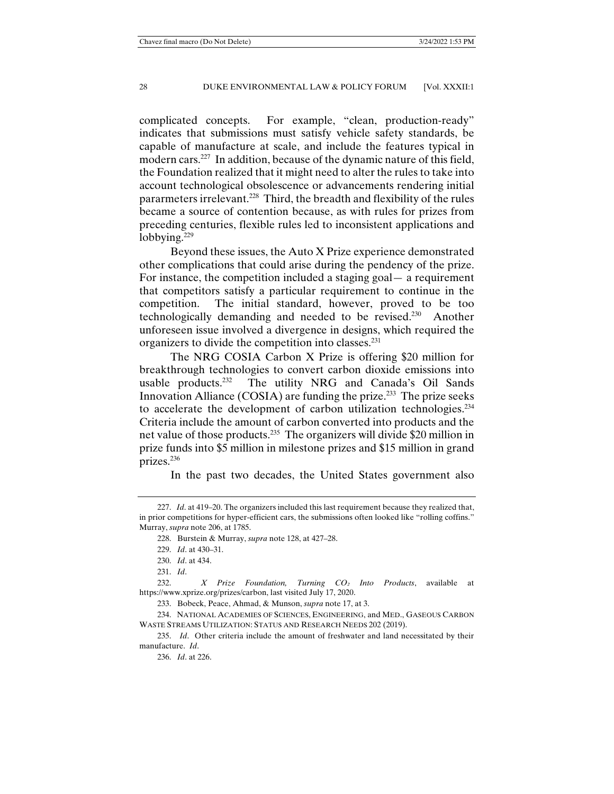complicated concepts. For example, "clean, production-ready" indicates that submissions must satisfy vehicle safety standards, be capable of manufacture at scale, and include the features typical in modern cars.<sup>227</sup> In addition, because of the dynamic nature of this field, the Foundation realized that it might need to alter the rules to take into account technological obsolescence or advancements rendering initial pararmeters irrelevant.<sup>228</sup> Third, the breadth and flexibility of the rules became a source of contention because, as with rules for prizes from preceding centuries, flexible rules led to inconsistent applications and lobbying. $229$ 

 Beyond these issues, the Auto X Prize experience demonstrated other complications that could arise during the pendency of the prize. For instance, the competition included a staging goal— a requirement that competitors satisfy a particular requirement to continue in the competition. The initial standard, however, proved to be too technologically demanding and needed to be revised.230 Another unforeseen issue involved a divergence in designs, which required the organizers to divide the competition into classes.231

 The NRG COSIA Carbon X Prize is offering \$20 million for breakthrough technologies to convert carbon dioxide emissions into usable products.<sup>232</sup> The utility NRG and Canada's Oil Sands Innovation Alliance (COSIA) are funding the prize.<sup>233</sup> The prize seeks to accelerate the development of carbon utilization technologies.234 Criteria include the amount of carbon converted into products and the net value of those products.<sup>235</sup> The organizers will divide \$20 million in prize funds into \$5 million in milestone prizes and \$15 million in grand prizes.236

In the past two decades, the United States government also

 <sup>227.</sup> *Id*. at 419–20. The organizers included this last requirement because they realized that, in prior competitions for hyper-efficient cars, the submissions often looked like "rolling coffins." Murray, *supra* note 206, at 1785.

 <sup>228.</sup> Burstein & Murray, *supra* note 128, at 427–28.

 <sup>229.</sup> *Id*. at 430–31.

 <sup>230.</sup> *Id*. at 434.

 <sup>231.</sup> *Id*.

 <sup>232.</sup> *X Prize Foundation, Turning CO₂ Into Products*, available at https://www.xprize.org/prizes/carbon, last visited July 17, 2020.

 <sup>233.</sup> Bobeck, Peace, Ahmad, & Munson, *supra* note 17, at 3.

 <sup>234.</sup> NATIONAL ACADEMIES OF SCIENCES, ENGINEERING, and MED., GASEOUS CARBON WASTE STREAMS UTILIZATION: STATUS AND RESEARCH NEEDS 202 (2019).

 <sup>235.</sup> *Id*. Other criteria include the amount of freshwater and land necessitated by their manufacture. *Id*.

 <sup>236.</sup> *Id*. at 226.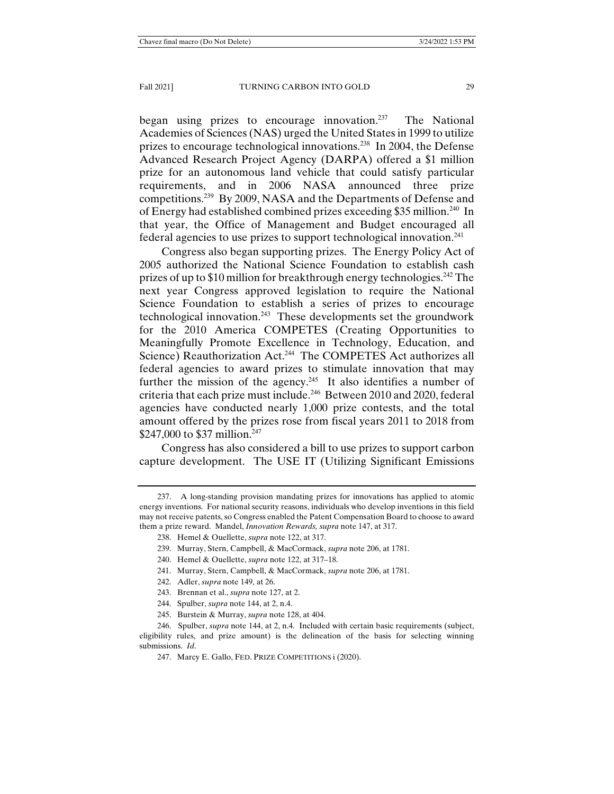began using prizes to encourage innovation.<sup>237</sup> The National Academies of Sciences (NAS) urged the United States in 1999 to utilize prizes to encourage technological innovations.238 In 2004, the Defense Advanced Research Project Agency (DARPA) offered a \$1 million prize for an autonomous land vehicle that could satisfy particular requirements, and in 2006 NASA announced three prize competitions.239 By 2009, NASA and the Departments of Defense and of Energy had established combined prizes exceeding \$35 million.240 In that year, the Office of Management and Budget encouraged all federal agencies to use prizes to support technological innovation.241

Congress also began supporting prizes. The Energy Policy Act of 2005 authorized the National Science Foundation to establish cash prizes of up to \$10 million for breakthrough energy technologies.<sup>242</sup> The next year Congress approved legislation to require the National Science Foundation to establish a series of prizes to encourage technological innovation.243 These developments set the groundwork for the 2010 America COMPETES (Creating Opportunities to Meaningfully Promote Excellence in Technology, Education, and Science) Reauthorization Act.<sup>244</sup> The COMPETES Act authorizes all federal agencies to award prizes to stimulate innovation that may further the mission of the agency.<sup>245</sup> It also identifies a number of criteria that each prize must include.246 Between 2010 and 2020, federal agencies have conducted nearly 1,000 prize contests, and the total amount offered by the prizes rose from fiscal years 2011 to 2018 from \$247,000 to \$37 million.<sup>247</sup>

Congress has also considered a bill to use prizes to support carbon capture development. The USE IT (Utilizing Significant Emissions

 <sup>237.</sup> A long-standing provision mandating prizes for innovations has applied to atomic energy inventions. For national security reasons, individuals who develop inventions in this field may not receive patents, so Congress enabled the Patent Compensation Board to choose to award them a prize reward. Mandel, *Innovation Rewards, supra* note 147, at 317.

 <sup>238.</sup> Hemel & Ouellette, *supra* note 122, at 317.

 <sup>239.</sup> Murray, Stern, Campbell, & MacCormack, *supra* note 206, at 1781.

 <sup>240.</sup> Hemel & Ouellette, *supra* note 122, at 317–18.

 <sup>241.</sup> Murray, Stern, Campbell, & MacCormack, *supra* note 206, at 1781.

 <sup>242.</sup> Adler, *supra* note 149, at 26.

 <sup>243.</sup> Brennan et al., *supra* note 127, at 2.

 <sup>244.</sup> Spulber, *supra* note 144, at 2, n.4.

 <sup>245.</sup> Burstein & Murray, *supra* note 128, at 404.

 <sup>246.</sup> Spulber, *supra* note 144, at 2, n.4. Included with certain basic requirements (subject, eligibility rules, and prize amount) is the delineation of the basis for selecting winning submissions. *Id*.

 <sup>247.</sup> Marcy E. Gallo, FED. PRIZE COMPETITIONS i (2020).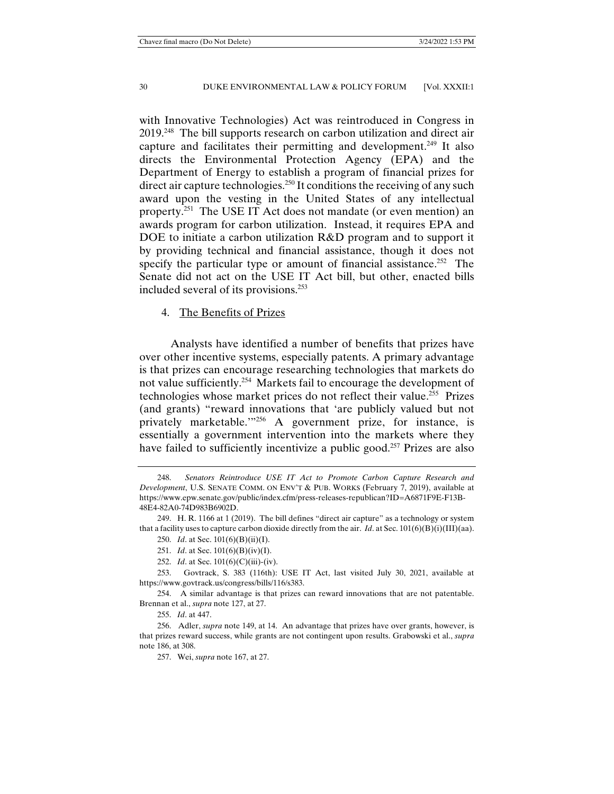with Innovative Technologies) Act was reintroduced in Congress in 2019.248 The bill supports research on carbon utilization and direct air capture and facilitates their permitting and development.249 It also directs the Environmental Protection Agency (EPA) and the Department of Energy to establish a program of financial prizes for direct air capture technologies.<sup>250</sup> It conditions the receiving of any such award upon the vesting in the United States of any intellectual property.251 The USE IT Act does not mandate (or even mention) an awards program for carbon utilization. Instead, it requires EPA and DOE to initiate a carbon utilization R&D program and to support it by providing technical and financial assistance, though it does not specify the particular type or amount of financial assistance.<sup>252</sup> The Senate did not act on the USE IT Act bill, but other, enacted bills included several of its provisions.253

# 4. The Benefits of Prizes

 Analysts have identified a number of benefits that prizes have over other incentive systems, especially patents. A primary advantage is that prizes can encourage researching technologies that markets do not value sufficiently.254 Markets fail to encourage the development of technologies whose market prices do not reflect their value.<sup>255</sup> Prizes (and grants) "reward innovations that 'are publicly valued but not privately marketable.'"256 A government prize, for instance, is essentially a government intervention into the markets where they have failed to sufficiently incentivize a public good.<sup>257</sup> Prizes are also

 <sup>248.</sup> *Senators Reintroduce USE IT Act to Promote Carbon Capture Research and Development*, U.S. SENATE COMM. ON ENV'T & PUB. WORKS (February 7, 2019), available at https://www.epw.senate.gov/public/index.cfm/press-releases-republican?ID=A6871F9E-F13B-48E4-82A0-74D983B6902D.

 <sup>249.</sup> H. R. 1166 at 1 (2019). The bill defines "direct air capture" as a technology or system that a facility uses to capture carbon dioxide directly from the air. *Id.* at Sec.  $101(6)(B)(i)(III)(aa)$ .

 <sup>250.</sup> *Id*. at Sec. 101(6)(B)(ii)(I).

 <sup>251.</sup> *Id*. at Sec. 101(6)(B)(iv)(I).

 <sup>252.</sup> *Id*. at Sec. 101(6)(C)(iii)-(iv).

 <sup>253.</sup> Govtrack, S. 383 (116th): USE IT Act, last visited July 30, 2021, available at https://www.govtrack.us/congress/bills/116/s383.

 <sup>254.</sup> A similar advantage is that prizes can reward innovations that are not patentable. Brennan et al., *supra* note 127, at 27.

 <sup>255.</sup> *Id*. at 447.

 <sup>256.</sup> Adler, *supra* note 149, at 14. An advantage that prizes have over grants, however, is that prizes reward success, while grants are not contingent upon results. Grabowski et al., *supra* note 186, at 308.

 <sup>257.</sup> Wei, *supra* note 167, at 27.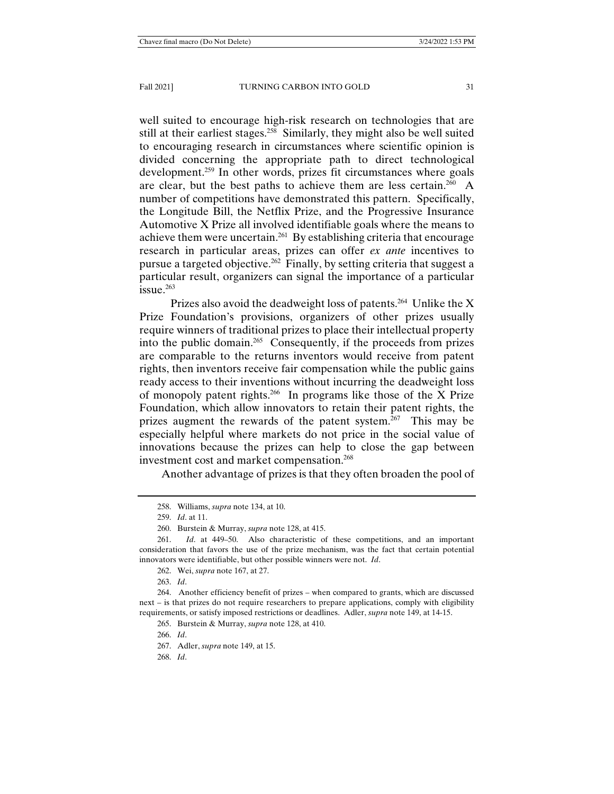well suited to encourage high-risk research on technologies that are still at their earliest stages.<sup>258</sup> Similarly, they might also be well suited to encouraging research in circumstances where scientific opinion is divided concerning the appropriate path to direct technological development.<sup>259</sup> In other words, prizes fit circumstances where goals are clear, but the best paths to achieve them are less certain.<sup>260</sup> A number of competitions have demonstrated this pattern. Specifically, the Longitude Bill, the Netflix Prize, and the Progressive Insurance Automotive X Prize all involved identifiable goals where the means to achieve them were uncertain.261 By establishing criteria that encourage research in particular areas, prizes can offer *ex ante* incentives to pursue a targeted objective.262 Finally, by setting criteria that suggest a particular result, organizers can signal the importance of a particular issue.263

Prizes also avoid the deadweight loss of patents.<sup>264</sup> Unlike the X Prize Foundation's provisions, organizers of other prizes usually require winners of traditional prizes to place their intellectual property into the public domain.<sup>265</sup> Consequently, if the proceeds from prizes are comparable to the returns inventors would receive from patent rights, then inventors receive fair compensation while the public gains ready access to their inventions without incurring the deadweight loss of monopoly patent rights.<sup>266</sup> In programs like those of the X Prize Foundation, which allow innovators to retain their patent rights, the prizes augment the rewards of the patent system.<sup>267</sup> This may be especially helpful where markets do not price in the social value of innovations because the prizes can help to close the gap between investment cost and market compensation.<sup>268</sup>

Another advantage of prizes is that they often broaden the pool of

 <sup>258.</sup> Williams, *supra* note 134, at 10.

 <sup>259.</sup> *Id*. at 11.

 <sup>260.</sup> Burstein & Murray, *supra* note 128, at 415.

 <sup>261.</sup> *Id*. at 449–50. Also characteristic of these competitions, and an important consideration that favors the use of the prize mechanism, was the fact that certain potential innovators were identifiable, but other possible winners were not. *Id*.

 <sup>262.</sup> Wei, *supra* note 167, at 27.

 <sup>263.</sup> *Id*.

 <sup>264.</sup> Another efficiency benefit of prizes – when compared to grants, which are discussed next – is that prizes do not require researchers to prepare applications, comply with eligibility requirements, or satisfy imposed restrictions or deadlines. Adler, *supra* note 149, at 14-15.

 <sup>265.</sup> Burstein & Murray, *supra* note 128, at 410.

 <sup>266.</sup> *Id*.

 <sup>267.</sup> Adler, *supra* note 149, at 15.

 <sup>268.</sup> *Id*.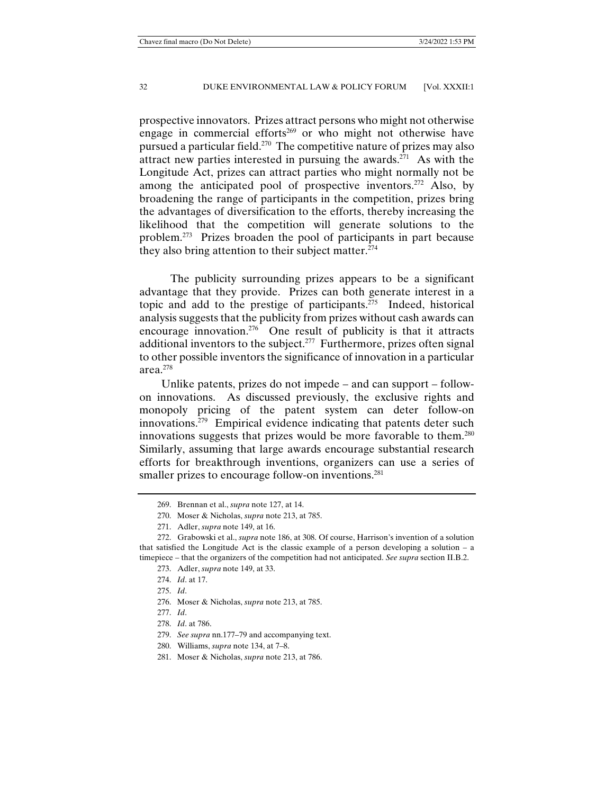prospective innovators. Prizes attract persons who might not otherwise engage in commercial efforts<sup>269</sup> or who might not otherwise have pursued a particular field.270 The competitive nature of prizes may also attract new parties interested in pursuing the awards.<sup>271</sup> As with the Longitude Act, prizes can attract parties who might normally not be among the anticipated pool of prospective inventors.<sup>272</sup> Also, by broadening the range of participants in the competition, prizes bring the advantages of diversification to the efforts, thereby increasing the likelihood that the competition will generate solutions to the problem.273 Prizes broaden the pool of participants in part because they also bring attention to their subject matter.<sup>274</sup>

 The publicity surrounding prizes appears to be a significant advantage that they provide. Prizes can both generate interest in a topic and add to the prestige of participants.275 Indeed, historical analysis suggests that the publicity from prizes without cash awards can encourage innovation.<sup>276</sup> One result of publicity is that it attracts additional inventors to the subject.<sup>277</sup> Furthermore, prizes often signal to other possible inventors the significance of innovation in a particular area.278

Unlike patents, prizes do not impede – and can support – followon innovations. As discussed previously, the exclusive rights and monopoly pricing of the patent system can deter follow-on innovations.<sup>279</sup> Empirical evidence indicating that patents deter such innovations suggests that prizes would be more favorable to them.<sup>280</sup> Similarly, assuming that large awards encourage substantial research efforts for breakthrough inventions, organizers can use a series of smaller prizes to encourage follow-on inventions.<sup>281</sup>

 <sup>269.</sup> Brennan et al., *supra* note 127, at 14.

 <sup>270.</sup> Moser & Nicholas, *supra* note 213, at 785.

 <sup>271.</sup> Adler, *supra* note 149, at 16.

 <sup>272.</sup> Grabowski et al., *supra* note 186, at 308. Of course, Harrison's invention of a solution that satisfied the Longitude Act is the classic example of a person developing a solution – a timepiece – that the organizers of the competition had not anticipated. *See supra* section II.B.2.

 <sup>273.</sup> Adler, *supra* note 149, at 33.

 <sup>274.</sup> *Id*. at 17.

 <sup>275.</sup> *Id*.

 <sup>276.</sup> Moser & Nicholas, *supra* note 213, at 785.

 <sup>277.</sup> *Id*.

 <sup>278.</sup> *Id*. at 786.

 <sup>279.</sup> *See supra* nn.177–79 and accompanying text.

 <sup>280.</sup> Williams, *supra* note 134, at 7–8.

 <sup>281.</sup> Moser & Nicholas, *supra* note 213, at 786.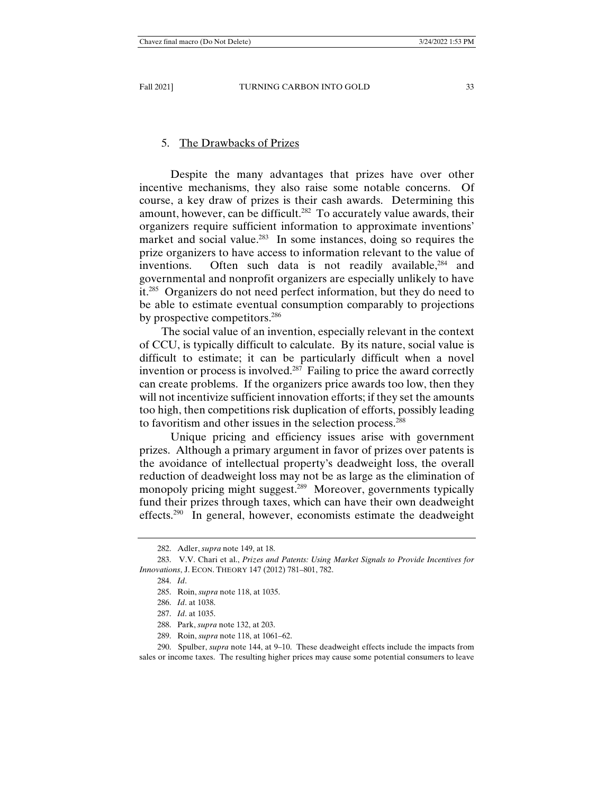# 5. The Drawbacks of Prizes

 Despite the many advantages that prizes have over other incentive mechanisms, they also raise some notable concerns. Of course, a key draw of prizes is their cash awards. Determining this amount, however, can be difficult.<sup>282</sup> To accurately value awards, their organizers require sufficient information to approximate inventions' market and social value.<sup>283</sup> In some instances, doing so requires the prize organizers to have access to information relevant to the value of inventions. Often such data is not readily available,<sup>284</sup> and governmental and nonprofit organizers are especially unlikely to have it.<sup>285</sup> Organizers do not need perfect information, but they do need to be able to estimate eventual consumption comparably to projections by prospective competitors.<sup>286</sup>

The social value of an invention, especially relevant in the context of CCU, is typically difficult to calculate. By its nature, social value is difficult to estimate; it can be particularly difficult when a novel invention or process is involved.287 Failing to price the award correctly can create problems. If the organizers price awards too low, then they will not incentivize sufficient innovation efforts; if they set the amounts too high, then competitions risk duplication of efforts, possibly leading to favoritism and other issues in the selection process.288

 Unique pricing and efficiency issues arise with government prizes. Although a primary argument in favor of prizes over patents is the avoidance of intellectual property's deadweight loss, the overall reduction of deadweight loss may not be as large as the elimination of monopoly pricing might suggest.<sup>289</sup> Moreover, governments typically fund their prizes through taxes, which can have their own deadweight effects.290 In general, however, economists estimate the deadweight

289. Roin, *supra* note 118, at 1061–62.

 290. Spulber, *supra* note 144, at 9–10. These deadweight effects include the impacts from sales or income taxes. The resulting higher prices may cause some potential consumers to leave

 <sup>282.</sup> Adler, *supra* note 149, at 18.

 <sup>283.</sup> V.V. Chari et al., *Prizes and Patents: Using Market Signals to Provide Incentives for Innovations*, J. ECON. THEORY 147 (2012) 781–801, 782.

 <sup>284.</sup> *Id*.

 <sup>285.</sup> Roin, *supra* note 118, at 1035.

 <sup>286.</sup> *Id*. at 1038.

 <sup>287.</sup> *Id*. at 1035.

 <sup>288.</sup> Park, *supra* note 132, at 203.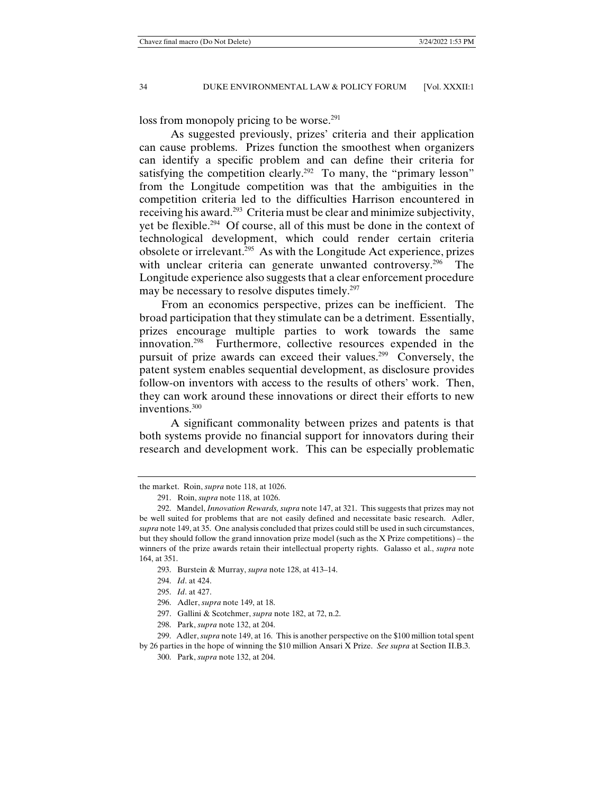loss from monopoly pricing to be worse.<sup>291</sup>

 As suggested previously, prizes' criteria and their application can cause problems. Prizes function the smoothest when organizers can identify a specific problem and can define their criteria for satisfying the competition clearly.<sup>292</sup> To many, the "primary lesson" from the Longitude competition was that the ambiguities in the competition criteria led to the difficulties Harrison encountered in receiving his award.293 Criteria must be clear and minimize subjectivity, yet be flexible.294 Of course, all of this must be done in the context of technological development, which could render certain criteria obsolete or irrelevant.295 As with the Longitude Act experience, prizes with unclear criteria can generate unwanted controversy.<sup>296</sup> The Longitude experience also suggests that a clear enforcement procedure may be necessary to resolve disputes timely.<sup>297</sup>

From an economics perspective, prizes can be inefficient. The broad participation that they stimulate can be a detriment. Essentially, prizes encourage multiple parties to work towards the same innovation.298 Furthermore, collective resources expended in the pursuit of prize awards can exceed their values.<sup>299</sup> Conversely, the patent system enables sequential development, as disclosure provides follow-on inventors with access to the results of others' work. Then, they can work around these innovations or direct their efforts to new inventions.300

 A significant commonality between prizes and patents is that both systems provide no financial support for innovators during their research and development work. This can be especially problematic

the market. Roin, *supra* note 118, at 1026.

 <sup>291.</sup> Roin, *supra* note 118, at 1026.

 <sup>292.</sup> Mandel, *Innovation Rewards, supra* note 147, at 321. This suggests that prizes may not be well suited for problems that are not easily defined and necessitate basic research. Adler, *supra* note 149, at 35. One analysis concluded that prizes could still be used in such circumstances, but they should follow the grand innovation prize model (such as the X Prize competitions) – the winners of the prize awards retain their intellectual property rights. Galasso et al., *supra* note 164, at 351.

 <sup>293.</sup> Burstein & Murray, *supra* note 128, at 413–14.

 <sup>294.</sup> *Id*. at 424.

 <sup>295.</sup> *Id*. at 427.

 <sup>296.</sup> Adler, *supra* note 149, at 18.

 <sup>297.</sup> Gallini & Scotchmer, *supra* note 182, at 72, n.2.

 <sup>298.</sup> Park, *supra* note 132, at 204.

 <sup>299.</sup> Adler, *supra* note 149, at 16. This is another perspective on the \$100 million total spent

by 26 parties in the hope of winning the \$10 million Ansari X Prize. *See supra* at Section II.B.3.

 <sup>300.</sup> Park, *supra* note 132, at 204.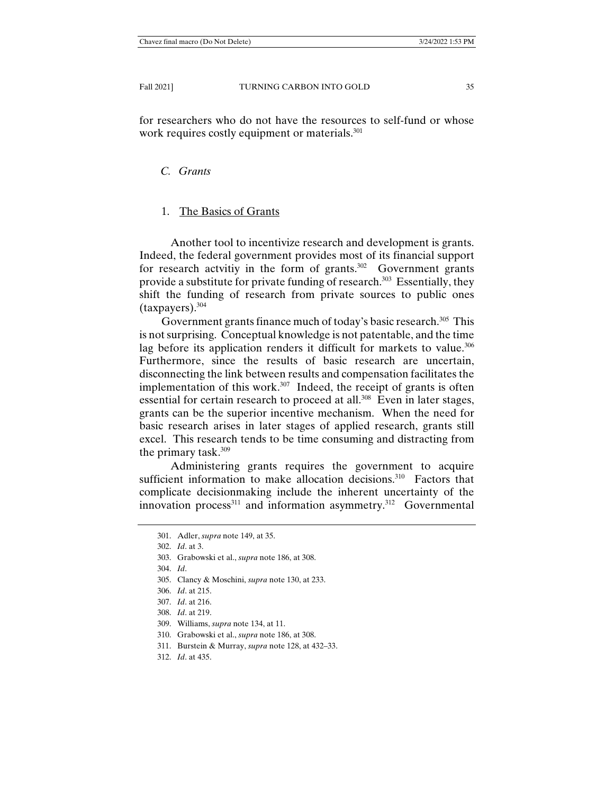for researchers who do not have the resources to self-fund or whose work requires costly equipment or materials.<sup>301</sup>

# *C. Grants*

# 1. The Basics of Grants

 Another tool to incentivize research and development is grants. Indeed, the federal government provides most of its financial support for research actvitiy in the form of grants.302 Government grants provide a substitute for private funding of research.<sup>303</sup> Essentially, they shift the funding of research from private sources to public ones (taxpayers).304

Government grants finance much of today's basic research.<sup>305</sup> This is not surprising. Conceptual knowledge is not patentable, and the time lag before its application renders it difficult for markets to value.<sup>306</sup> Furthermore, since the results of basic research are uncertain, disconnecting the link between results and compensation facilitates the implementation of this work.<sup>307</sup> Indeed, the receipt of grants is often essential for certain research to proceed at all.<sup>308</sup> Even in later stages, grants can be the superior incentive mechanism. When the need for basic research arises in later stages of applied research, grants still excel. This research tends to be time consuming and distracting from the primary task.309

 Administering grants requires the government to acquire sufficient information to make allocation decisions.<sup>310</sup> Factors that complicate decisionmaking include the inherent uncertainty of the innovation process<sup>311</sup> and information asymmetry.<sup>312</sup> Governmental

- 303. Grabowski et al., *supra* note 186, at 308.
- 304. *Id*.
- 305. Clancy & Moschini, *supra* note 130, at 233.
- 306. *Id*. at 215.
- 307. *Id*. at 216.
- 308. *Id*. at 219.
- 309. Williams, *supra* note 134, at 11.
- 310. Grabowski et al., *supra* note 186, at 308.
- 311. Burstein & Murray, *supra* note 128, at 432–33.
- 312. *Id*. at 435.

 <sup>301.</sup> Adler, *supra* note 149, at 35.

 <sup>302.</sup> *Id*. at 3.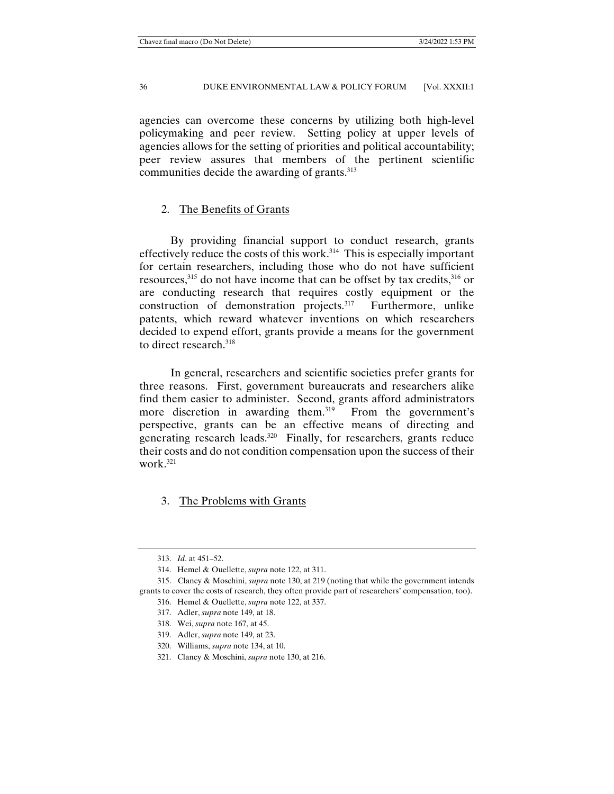agencies can overcome these concerns by utilizing both high-level policymaking and peer review. Setting policy at upper levels of agencies allows for the setting of priorities and political accountability; peer review assures that members of the pertinent scientific communities decide the awarding of grants.<sup>313</sup>

# 2. The Benefits of Grants

 By providing financial support to conduct research, grants effectively reduce the costs of this work.<sup>314</sup> This is especially important for certain researchers, including those who do not have sufficient resources,  $315$  do not have income that can be offset by tax credits,  $316$  or are conducting research that requires costly equipment or the construction of demonstration projects.<sup>317</sup> Furthermore, unlike patents, which reward whatever inventions on which researchers decided to expend effort, grants provide a means for the government to direct research.318

 In general, researchers and scientific societies prefer grants for three reasons. First, government bureaucrats and researchers alike find them easier to administer. Second, grants afford administrators more discretion in awarding them.<sup>319</sup> From the government's perspective, grants can be an effective means of directing and generating research leads.<sup>320</sup> Finally, for researchers, grants reduce their costs and do not condition compensation upon the success of their work.321

3. The Problems with Grants

 <sup>313.</sup> *Id*. at 451–52.

 <sup>314.</sup> Hemel & Ouellette, *supra* note 122, at 311.

 <sup>315.</sup> Clancy & Moschini, *supra* note 130, at 219 (noting that while the government intends grants to cover the costs of research, they often provide part of researchers' compensation, too).

 <sup>316.</sup> Hemel & Ouellette, *supra* note 122, at 337.

 <sup>317.</sup> Adler, *supra* note 149, at 18.

 <sup>318.</sup> Wei, *supra* note 167, at 45.

 <sup>319.</sup> Adler, *supra* note 149, at 23.

 <sup>320.</sup> Williams, *supra* note 134, at 10.

 <sup>321.</sup> Clancy & Moschini, *supra* note 130, at 216.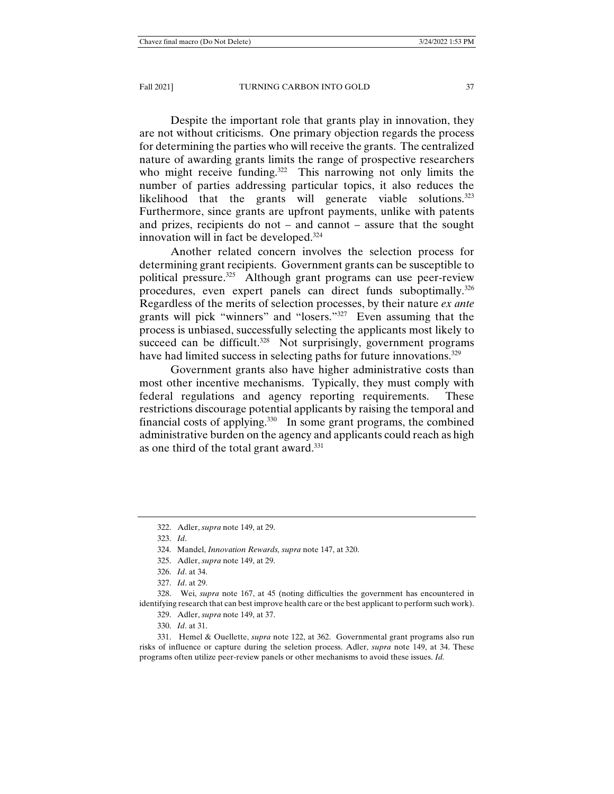Despite the important role that grants play in innovation, they are not without criticisms. One primary objection regards the process for determining the parties who will receive the grants. The centralized nature of awarding grants limits the range of prospective researchers who might receive funding.<sup>322</sup> This narrowing not only limits the number of parties addressing particular topics, it also reduces the likelihood that the grants will generate viable solutions.<sup>323</sup> Furthermore, since grants are upfront payments, unlike with patents and prizes, recipients do not – and cannot – assure that the sought innovation will in fact be developed.<sup>324</sup>

 Another related concern involves the selection process for determining grant recipients. Government grants can be susceptible to political pressure.325 Although grant programs can use peer-review procedures, even expert panels can direct funds suboptimally.326 Regardless of the merits of selection processes, by their nature *ex ante* grants will pick "winners" and "losers."327 Even assuming that the process is unbiased, successfully selecting the applicants most likely to succeed can be difficult.<sup>328</sup> Not surprisingly, government programs have had limited success in selecting paths for future innovations.<sup>329</sup>

 Government grants also have higher administrative costs than most other incentive mechanisms. Typically, they must comply with federal regulations and agency reporting requirements. These restrictions discourage potential applicants by raising the temporal and financial costs of applying. $330$  In some grant programs, the combined administrative burden on the agency and applicants could reach as high as one third of the total grant award.<sup>331</sup>

323. *Id*.

 328. Wei, *supra* note 167, at 45 (noting difficulties the government has encountered in identifying research that can best improve health care or the best applicant to perform such work).

329. Adler, *supra* note 149, at 37.

330. *Id*. at 31.

 331. Hemel & Ouellette, *supra* note 122, at 362. Governmental grant programs also run risks of influence or capture during the seletion process. Adler, *supra* note 149, at 34. These programs often utilize peer-review panels or other mechanisms to avoid these issues. *Id.*

 <sup>322.</sup> Adler, *supra* note 149, at 29.

 <sup>324.</sup> Mandel, *Innovation Rewards, supra* note 147, at 320.

 <sup>325.</sup> Adler, *supra* note 149, at 29.

 <sup>326.</sup> *Id*. at 34.

 <sup>327.</sup> *Id*. at 29.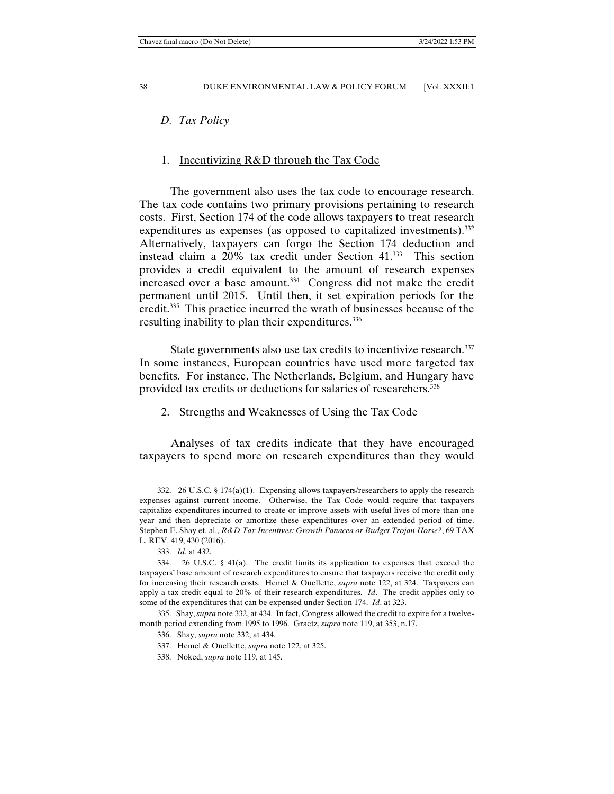#### *D. Tax Policy*

#### 1. Incentivizing R&D through the Tax Code

 The government also uses the tax code to encourage research. The tax code contains two primary provisions pertaining to research costs. First, Section 174 of the code allows taxpayers to treat research expenditures as expenses (as opposed to capitalized investments).<sup>332</sup> Alternatively, taxpayers can forgo the Section 174 deduction and instead claim a 20% tax credit under Section 41.333 This section provides a credit equivalent to the amount of research expenses increased over a base amount.<sup>334</sup> Congress did not make the credit permanent until 2015. Until then, it set expiration periods for the credit.335 This practice incurred the wrath of businesses because of the resulting inability to plan their expenditures.<sup>336</sup>

State governments also use tax credits to incentivize research.<sup>337</sup> In some instances, European countries have used more targeted tax benefits. For instance, The Netherlands, Belgium, and Hungary have provided tax credits or deductions for salaries of researchers.338

#### 2. Strengths and Weaknesses of Using the Tax Code

 Analyses of tax credits indicate that they have encouraged taxpayers to spend more on research expenditures than they would

 <sup>332. 26</sup> U.S.C. § 174(a)(1). Expensing allows taxpayers/researchers to apply the research expenses against current income. Otherwise, the Tax Code would require that taxpayers capitalize expenditures incurred to create or improve assets with useful lives of more than one year and then depreciate or amortize these expenditures over an extended period of time. Stephen E. Shay et. al., *R&D Tax Incentives: Growth Panacea or Budget Trojan Horse?*, 69 TAX L. REV. 419, 430 (2016).

 <sup>333.</sup> *Id*. at 432.

 <sup>334. 26</sup> U.S.C. § 41(a). The credit limits its application to expenses that exceed the taxpayers' base amount of research expenditures to ensure that taxpayers receive the credit only for increasing their research costs. Hemel & Ouellette, *supra* note 122, at 324. Taxpayers can apply a tax credit equal to 20% of their research expenditures. *Id*. The credit applies only to some of the expenditures that can be expensed under Section 174. *Id*. at 323.

 <sup>335.</sup> Shay, *supra* note 332, at 434. In fact, Congress allowed the credit to expire for a twelvemonth period extending from 1995 to 1996. Graetz, *supra* note 119, at 353, n.17.

 <sup>336.</sup> Shay, *supra* note 332, at 434.

 <sup>337.</sup> Hemel & Ouellette, *supra* note 122, at 325.

 <sup>338.</sup> Noked, *supra* note 119, at 145.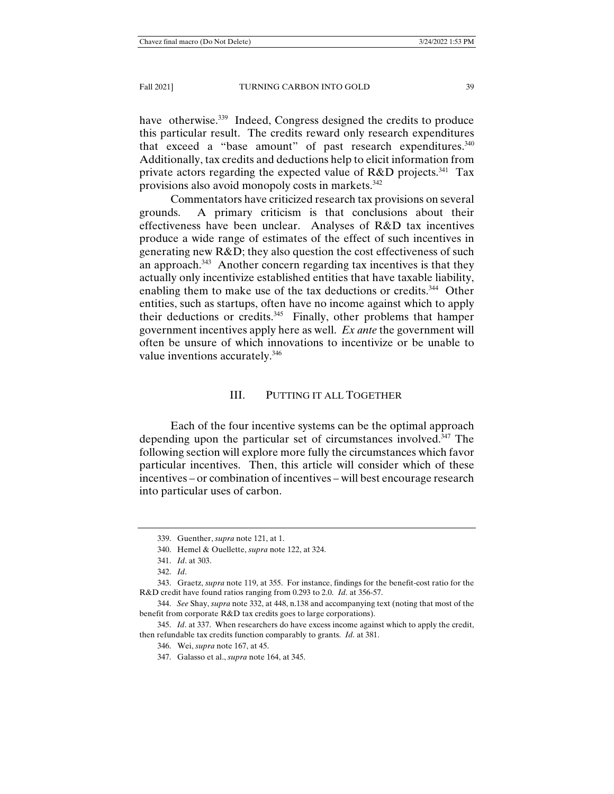have otherwise.<sup>339</sup> Indeed, Congress designed the credits to produce this particular result. The credits reward only research expenditures that exceed a "base amount" of past research expenditures.<sup>340</sup> Additionally, tax credits and deductions help to elicit information from private actors regarding the expected value of  $R&D$  projects.<sup>341</sup> Tax provisions also avoid monopoly costs in markets.<sup>342</sup>

 Commentators have criticized research tax provisions on several grounds. A primary criticism is that conclusions about their effectiveness have been unclear. Analyses of R&D tax incentives produce a wide range of estimates of the effect of such incentives in generating new R&D; they also question the cost effectiveness of such an approach.<sup>343</sup> Another concern regarding tax incentives is that they actually only incentivize established entities that have taxable liability, enabling them to make use of the tax deductions or credits.<sup>344</sup> Other entities, such as startups, often have no income against which to apply their deductions or credits.345 Finally, other problems that hamper government incentives apply here as well. *Ex ante* the government will often be unsure of which innovations to incentivize or be unable to value inventions accurately.<sup>346</sup>

## III. PUTTING IT ALL TOGETHER

 Each of the four incentive systems can be the optimal approach depending upon the particular set of circumstances involved.<sup>347</sup> The following section will explore more fully the circumstances which favor particular incentives. Then, this article will consider which of these incentives – or combination of incentives – will best encourage research into particular uses of carbon.

 <sup>339.</sup> Guenther, *supra* note 121, at 1.

 <sup>340.</sup> Hemel & Ouellette, *supra* note 122, at 324.

 <sup>341.</sup> *Id*. at 303.

 <sup>342.</sup> *Id*.

 <sup>343.</sup> Graetz, *supra* note 119, at 355. For instance, findings for the benefit-cost ratio for the R&D credit have found ratios ranging from 0.293 to 2.0. *Id*. at 356-57.

 <sup>344.</sup> *See* Shay, *supra* note 332, at 448, n.138 and accompanying text (noting that most of the benefit from corporate R&D tax credits goes to large corporations).

 <sup>345.</sup> *Id*. at 337. When researchers do have excess income against which to apply the credit, then refundable tax credits function comparably to grants. *Id*. at 381.

 <sup>346.</sup> Wei, *supra* note 167, at 45.

 <sup>347.</sup> Galasso et al., *supra* note 164, at 345.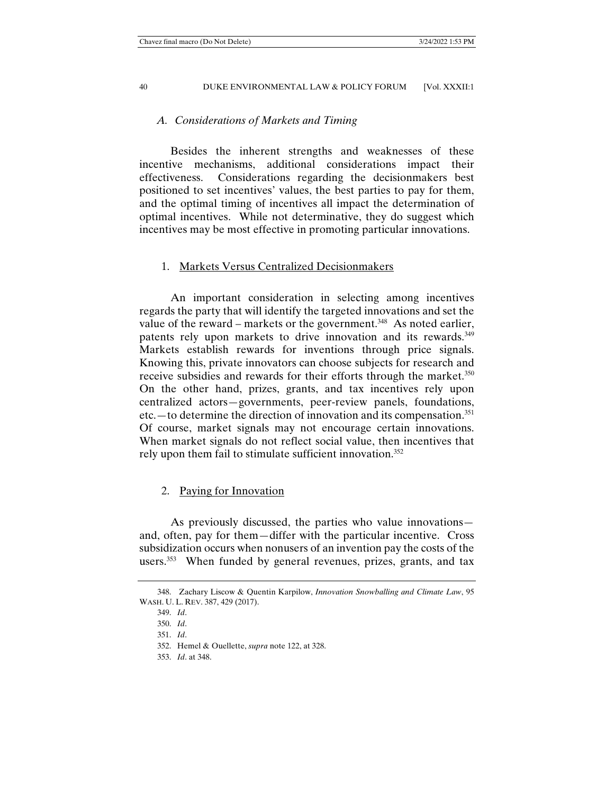## *A. Considerations of Markets and Timing*

 Besides the inherent strengths and weaknesses of these incentive mechanisms, additional considerations impact their effectiveness. Considerations regarding the decisionmakers best positioned to set incentives' values, the best parties to pay for them, and the optimal timing of incentives all impact the determination of optimal incentives. While not determinative, they do suggest which incentives may be most effective in promoting particular innovations.

## 1. Markets Versus Centralized Decisionmakers

 An important consideration in selecting among incentives regards the party that will identify the targeted innovations and set the value of the reward – markets or the government.<sup>348</sup> As noted earlier, patents rely upon markets to drive innovation and its rewards.<sup>349</sup> Markets establish rewards for inventions through price signals. Knowing this, private innovators can choose subjects for research and receive subsidies and rewards for their efforts through the market.<sup>350</sup> On the other hand, prizes, grants, and tax incentives rely upon centralized actors—governments, peer-review panels, foundations, etc.—to determine the direction of innovation and its compensation.351 Of course, market signals may not encourage certain innovations. When market signals do not reflect social value, then incentives that rely upon them fail to stimulate sufficient innovation.<sup>352</sup>

## 2. Paying for Innovation

 As previously discussed, the parties who value innovations and, often, pay for them—differ with the particular incentive. Cross subsidization occurs when nonusers of an invention pay the costs of the users.353 When funded by general revenues, prizes, grants, and tax

 <sup>348.</sup> Zachary Liscow & Quentin Karpilow, *Innovation Snowballing and Climate Law*, 95 WASH. U. L. REV. 387, 429 (2017).

 <sup>349.</sup> *Id*.

 <sup>350.</sup> *Id*.

 <sup>351.</sup> *Id*.

 <sup>352.</sup> Hemel & Ouellette, *supra* note 122, at 328.

 <sup>353.</sup> *Id*. at 348.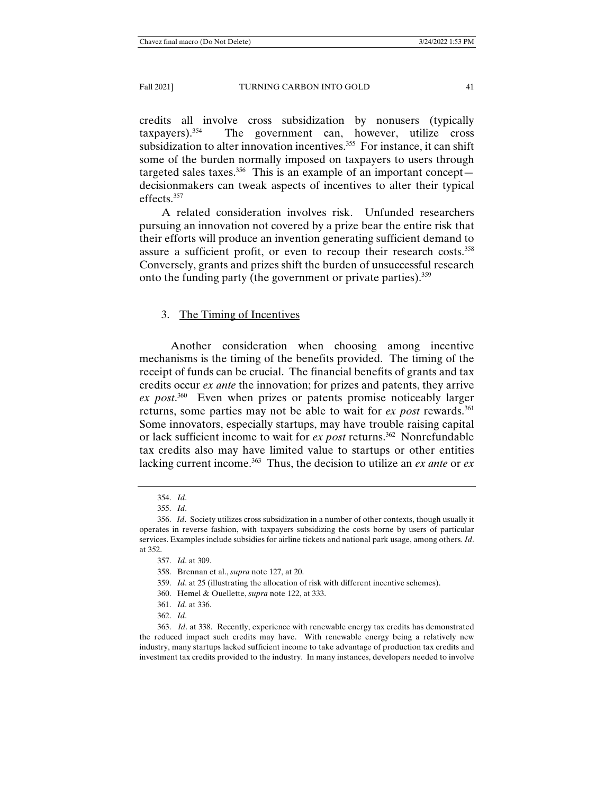credits all involve cross subsidization by nonusers (typically taxpayers).354 The government can, however, utilize cross subsidization to alter innovation incentives.<sup>355</sup> For instance, it can shift some of the burden normally imposed on taxpayers to users through targeted sales taxes.<sup>356</sup> This is an example of an important concept decisionmakers can tweak aspects of incentives to alter their typical effects.357

A related consideration involves risk. Unfunded researchers pursuing an innovation not covered by a prize bear the entire risk that their efforts will produce an invention generating sufficient demand to assure a sufficient profit, or even to recoup their research costs.<sup>358</sup> Conversely, grants and prizes shift the burden of unsuccessful research onto the funding party (the government or private parties).359

# 3. The Timing of Incentives

 Another consideration when choosing among incentive mechanisms is the timing of the benefits provided. The timing of the receipt of funds can be crucial. The financial benefits of grants and tax credits occur *ex ante* the innovation; for prizes and patents, they arrive *ex post*. 360 Even when prizes or patents promise noticeably larger returns, some parties may not be able to wait for *ex post* rewards.<sup>361</sup> Some innovators, especially startups, may have trouble raising capital or lack sufficient income to wait for *ex post* returns.<sup>362</sup> Nonrefundable tax credits also may have limited value to startups or other entities lacking current income.<sup>363</sup> Thus, the decision to utilize an *ex ante* or *ex* 

 <sup>354.</sup> *Id*.

 <sup>355.</sup> *Id*.

 <sup>356.</sup> *Id*. Society utilizes cross subsidization in a number of other contexts, though usually it operates in reverse fashion, with taxpayers subsidizing the costs borne by users of particular services. Examples include subsidies for airline tickets and national park usage, among others. *Id*. at 352.

 <sup>357.</sup> *Id*. at 309.

 <sup>358.</sup> Brennan et al., *supra* note 127, at 20.

 <sup>359.</sup> *Id*. at 25 (illustrating the allocation of risk with different incentive schemes).

 <sup>360.</sup> Hemel & Ouellette, *supra* note 122, at 333.

 <sup>361.</sup> *Id*. at 336.

 <sup>362.</sup> *Id*.

 <sup>363.</sup> *Id*. at 338. Recently, experience with renewable energy tax credits has demonstrated the reduced impact such credits may have. With renewable energy being a relatively new industry, many startups lacked sufficient income to take advantage of production tax credits and investment tax credits provided to the industry. In many instances, developers needed to involve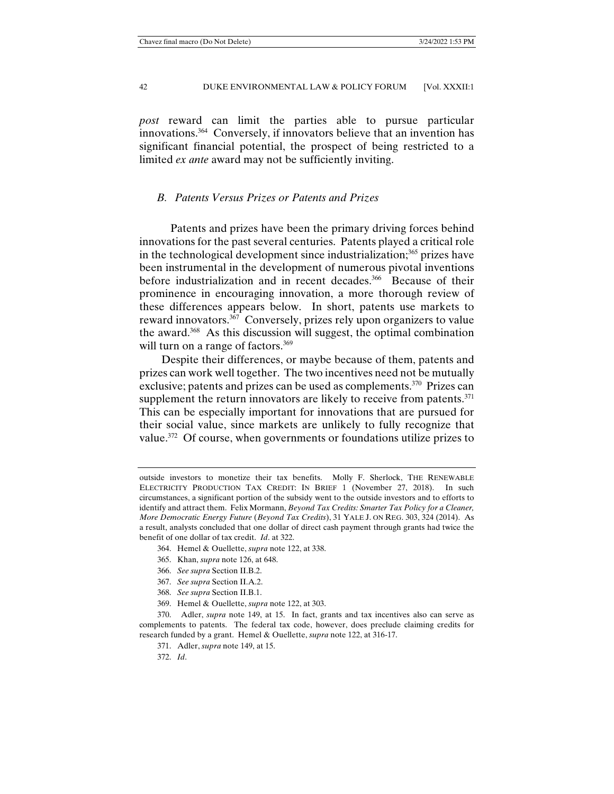*post* reward can limit the parties able to pursue particular innovations.364 Conversely, if innovators believe that an invention has significant financial potential, the prospect of being restricted to a limited *ex ante* award may not be sufficiently inviting.

## *B. Patents Versus Prizes or Patents and Prizes*

 Patents and prizes have been the primary driving forces behind innovations for the past several centuries. Patents played a critical role in the technological development since industrialization;<sup>365</sup> prizes have been instrumental in the development of numerous pivotal inventions before industrialization and in recent decades.<sup>366</sup> Because of their prominence in encouraging innovation, a more thorough review of these differences appears below. In short, patents use markets to reward innovators. $367$  Conversely, prizes rely upon organizers to value the award. $368$  As this discussion will suggest, the optimal combination will turn on a range of factors.<sup>369</sup>

Despite their differences, or maybe because of them, patents and prizes can work well together. The two incentives need not be mutually exclusive; patents and prizes can be used as complements.<sup>370</sup> Prizes can supplement the return innovators are likely to receive from patents. $371$ This can be especially important for innovations that are pursued for their social value, since markets are unlikely to fully recognize that value.<sup>372</sup> Of course, when governments or foundations utilize prizes to

- 364. Hemel & Ouellette, *supra* note 122, at 338.
- 365. Khan, *supra* note 126, at 648.
- 366. *See supra* Section II.B.2.
- 367. *See supra* Section II.A.2.
- 368. *See supra* Section II.B.1.
- 369. Hemel & Ouellette, *supra* note 122, at 303.

 370. Adler, *supra* note 149, at 15. In fact, grants and tax incentives also can serve as complements to patents. The federal tax code, however, does preclude claiming credits for research funded by a grant. Hemel & Ouellette, *supra* note 122, at 316-17.

371. Adler, *supra* note 149, at 15.

372. *Id*.

outside investors to monetize their tax benefits. Molly F. Sherlock, THE RENEWABLE ELECTRICITY PRODUCTION TAX CREDIT: IN BRIEF 1 (November 27, 2018). In such circumstances, a significant portion of the subsidy went to the outside investors and to efforts to identify and attract them. Felix Mormann, *Beyond Tax Credits: Smarter Tax Policy for a Cleaner, More Democratic Energy Future* (*Beyond Tax Credits*), 31 YALE J. ON REG. 303, 324 (2014). As a result, analysts concluded that one dollar of direct cash payment through grants had twice the benefit of one dollar of tax credit. *Id*. at 322.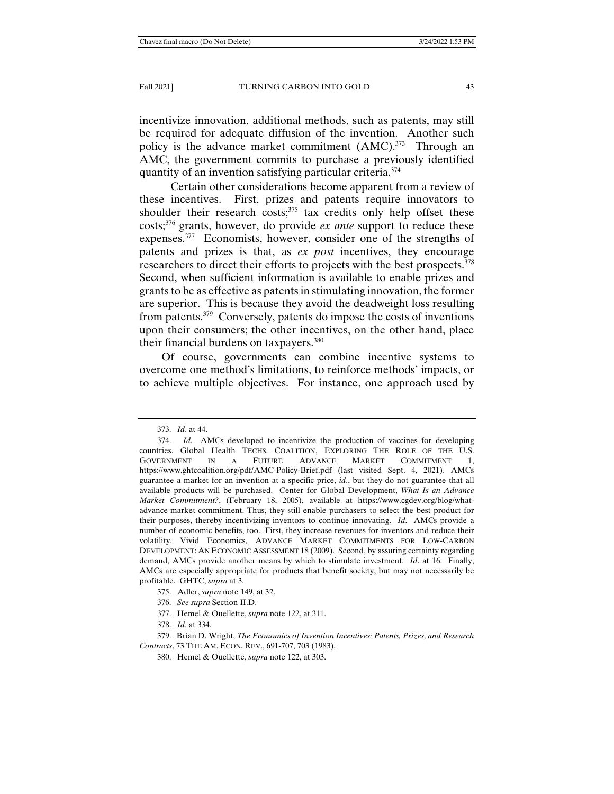incentivize innovation, additional methods, such as patents, may still be required for adequate diffusion of the invention. Another such policy is the advance market commitment  $(AMC)$ .<sup>373</sup> Through an AMC, the government commits to purchase a previously identified quantity of an invention satisfying particular criteria.374

 Certain other considerations become apparent from a review of these incentives. First, prizes and patents require innovators to shoulder their research costs; $375$  tax credits only help offset these costs;376 grants, however, do provide *ex ante* support to reduce these expenses.377 Economists, however, consider one of the strengths of patents and prizes is that, as *ex post* incentives, they encourage researchers to direct their efforts to projects with the best prospects.<sup>378</sup> Second, when sufficient information is available to enable prizes and grants to be as effective as patents in stimulating innovation, the former are superior. This is because they avoid the deadweight loss resulting from patents.379 Conversely, patents do impose the costs of inventions upon their consumers; the other incentives, on the other hand, place their financial burdens on taxpayers.<sup>380</sup>

Of course, governments can combine incentive systems to overcome one method's limitations, to reinforce methods' impacts, or to achieve multiple objectives. For instance, one approach used by

- 376. *See supra* Section II.D.
- 377. Hemel & Ouellette, *supra* note 122, at 311.

378. *Id*. at 334.

 <sup>373.</sup> *Id*. at 44.

 <sup>374.</sup> *Id*. AMCs developed to incentivize the production of vaccines for developing countries. Global Health TECHS. COALITION, EXPLORING THE ROLE OF THE U.S. GOVERNMENT IN A FUTURE ADVANCE MARKET COMMITMENT 1, https://www.ghtcoalition.org/pdf/AMC-Policy-Brief.pdf (last visited Sept. 4, 2021). AMCs guarantee a market for an invention at a specific price, *id*., but they do not guarantee that all available products will be purchased. Center for Global Development, *What Is an Advance Market Commitment?*, (February 18, 2005), available at https://www.cgdev.org/blog/whatadvance-market-commitment. Thus, they still enable purchasers to select the best product for their purposes, thereby incentivizing inventors to continue innovating. *Id*. AMCs provide a number of economic benefits, too. First, they increase revenues for inventors and reduce their volatility. Vivid Economics, ADVANCE MARKET COMMITMENTS FOR LOW-CARBON DEVELOPMENT: AN ECONOMIC ASSESSMENT 18 (2009). Second, by assuring certainty regarding demand, AMCs provide another means by which to stimulate investment. *Id*. at 16. Finally, AMCs are especially appropriate for products that benefit society, but may not necessarily be profitable. GHTC, *supra* at 3.

 <sup>375.</sup> Adler, *supra* note 149, at 32.

 <sup>379.</sup> Brian D. Wright, *The Economics of Invention Incentives: Patents, Prizes, and Research Contracts*, 73 THE AM. ECON. REV., 691-707, 703 (1983).

 <sup>380.</sup> Hemel & Ouellette, *supra* note 122, at 303.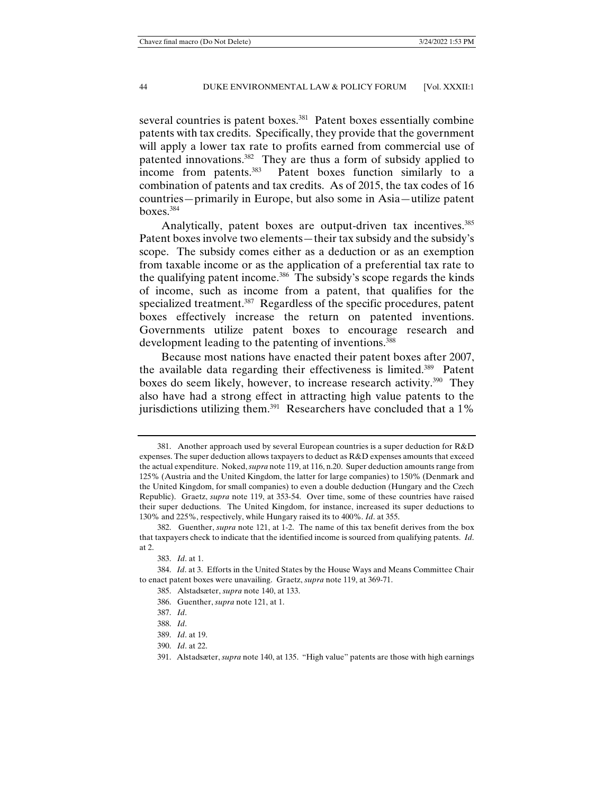several countries is patent boxes.<sup>381</sup> Patent boxes essentially combine patents with tax credits. Specifically, they provide that the government will apply a lower tax rate to profits earned from commercial use of patented innovations.382 They are thus a form of subsidy applied to income from patents.383 Patent boxes function similarly to a combination of patents and tax credits. As of 2015, the tax codes of 16 countries—primarily in Europe, but also some in Asia—utilize patent boxes.384

Analytically, patent boxes are output-driven tax incentives.<sup>385</sup> Patent boxes involve two elements—their tax subsidy and the subsidy's scope. The subsidy comes either as a deduction or as an exemption from taxable income or as the application of a preferential tax rate to the qualifying patent income.386 The subsidy's scope regards the kinds of income, such as income from a patent, that qualifies for the specialized treatment.<sup>387</sup> Regardless of the specific procedures, patent boxes effectively increase the return on patented inventions. Governments utilize patent boxes to encourage research and development leading to the patenting of inventions.<sup>388</sup>

Because most nations have enacted their patent boxes after 2007, the available data regarding their effectiveness is limited.389 Patent boxes do seem likely, however, to increase research activity.<sup>390</sup> They also have had a strong effect in attracting high value patents to the jurisdictions utilizing them.<sup>391</sup> Researchers have concluded that a  $1\%$ 

 <sup>381.</sup> Another approach used by several European countries is a super deduction for R&D expenses. The super deduction allows taxpayers to deduct as R&D expenses amounts that exceed the actual expenditure. Noked, *supra* note 119, at 116, n.20. Super deduction amounts range from 125% (Austria and the United Kingdom, the latter for large companies) to 150% (Denmark and the United Kingdom, for small companies) to even a double deduction (Hungary and the Czech Republic). Graetz, *supra* note 119, at 353-54. Over time, some of these countries have raised their super deductions. The United Kingdom, for instance, increased its super deductions to 130% and 225%, respectively, while Hungary raised its to 400%. *Id*. at 355.

 <sup>382.</sup> Guenther, *supra* note 121, at 1-2. The name of this tax benefit derives from the box that taxpayers check to indicate that the identified income is sourced from qualifying patents. *Id*. at 2.

 <sup>383.</sup> *Id*. at 1.

 <sup>384.</sup> *Id*. at 3. Efforts in the United States by the House Ways and Means Committee Chair to enact patent boxes were unavailing. Graetz, *supra* note 119, at 369-71.

 <sup>385.</sup> Alstadsæter, *supra* note 140, at 133.

 <sup>386.</sup> Guenther, *supra* note 121, at 1.

 <sup>387.</sup> *Id*.

 <sup>388.</sup> *Id*.

 <sup>389.</sup> *Id*. at 19.

 <sup>390.</sup> *Id*. at 22.

 <sup>391.</sup> Alstadsæter, *supra* note 140, at 135. "High value" patents are those with high earnings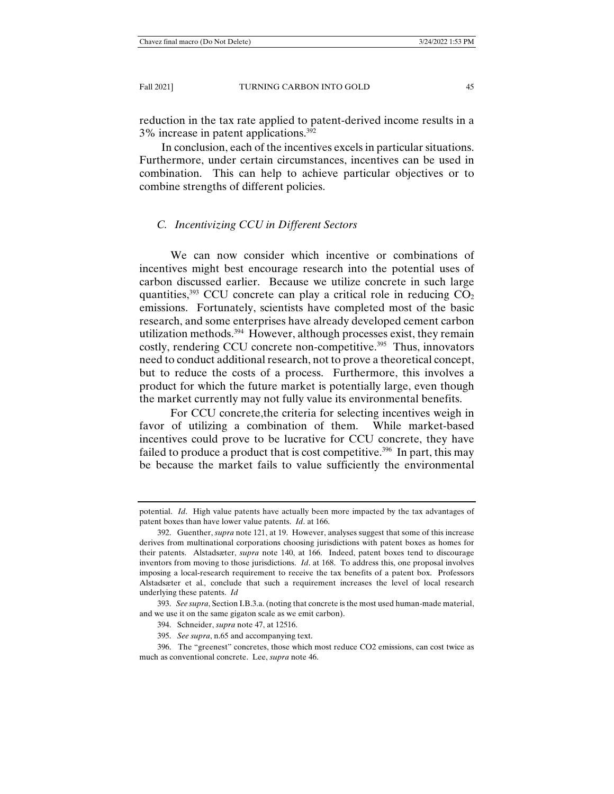reduction in the tax rate applied to patent-derived income results in a 3% increase in patent applications.392

In conclusion, each of the incentives excels in particular situations. Furthermore, under certain circumstances, incentives can be used in combination. This can help to achieve particular objectives or to combine strengths of different policies.

# *C. Incentivizing CCU in Different Sectors*

 We can now consider which incentive or combinations of incentives might best encourage research into the potential uses of carbon discussed earlier. Because we utilize concrete in such large quantities,<sup>393</sup> CCU concrete can play a critical role in reducing  $CO<sub>2</sub>$ emissions. Fortunately, scientists have completed most of the basic research, and some enterprises have already developed cement carbon utilization methods.<sup>394</sup> However, although processes exist, they remain costly, rendering CCU concrete non-competitive.<sup>395</sup> Thus, innovators need to conduct additional research, not to prove a theoretical concept, but to reduce the costs of a process. Furthermore, this involves a product for which the future market is potentially large, even though the market currently may not fully value its environmental benefits.

 For CCU concrete,the criteria for selecting incentives weigh in favor of utilizing a combination of them. While market-based incentives could prove to be lucrative for CCU concrete, they have failed to produce a product that is cost competitive.<sup>396</sup> In part, this may be because the market fails to value sufficiently the environmental

potential. *Id*. High value patents have actually been more impacted by the tax advantages of patent boxes than have lower value patents. *Id*. at 166.

 <sup>392.</sup> Guenther, *supra* note 121, at 19. However, analyses suggest that some of this increase derives from multinational corporations choosing jurisdictions with patent boxes as homes for their patents. Alstadsæter, *supra* note 140, at 166. Indeed, patent boxes tend to discourage inventors from moving to those jurisdictions. *Id*. at 168. To address this, one proposal involves imposing a local-research requirement to receive the tax benefits of a patent box. Professors Alstadsæter et al*.,* conclude that such a requirement increases the level of local research underlying these patents. *Id*

 <sup>393.</sup> *See supra*, Section I.B.3.a. (noting that concrete is the most used human-made material, and we use it on the same gigaton scale as we emit carbon).

 <sup>394.</sup> Schneider, *supra* note 47, at 12516.

 <sup>395.</sup> *See supra*, n.65 and accompanying text.

 <sup>396.</sup> The "greenest" concretes, those which most reduce CO2 emissions, can cost twice as much as conventional concrete. Lee, *supra* note 46.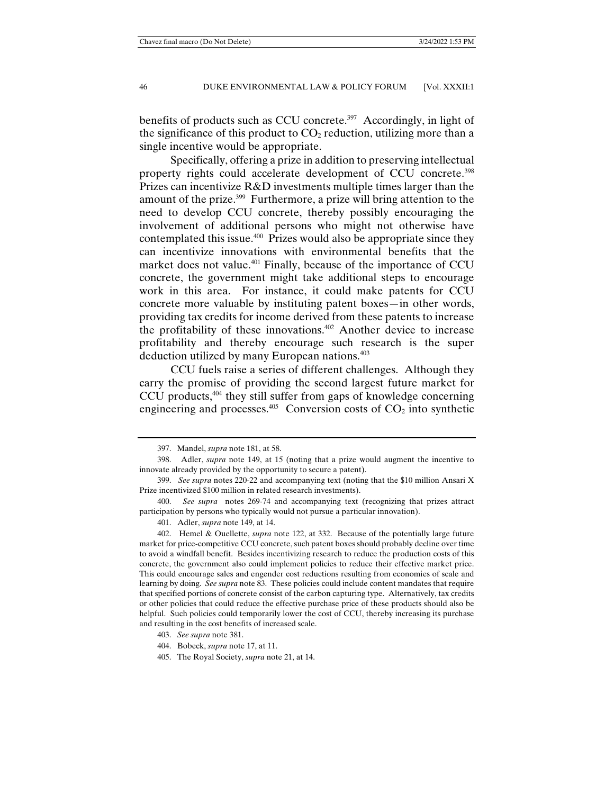benefits of products such as CCU concrete.<sup>397</sup> Accordingly, in light of the significance of this product to  $CO<sub>2</sub>$  reduction, utilizing more than a single incentive would be appropriate.

 Specifically, offering a prize in addition to preserving intellectual property rights could accelerate development of CCU concrete.<sup>398</sup> Prizes can incentivize R&D investments multiple times larger than the amount of the prize.399 Furthermore, a prize will bring attention to the need to develop CCU concrete, thereby possibly encouraging the involvement of additional persons who might not otherwise have contemplated this issue.400 Prizes would also be appropriate since they can incentivize innovations with environmental benefits that the market does not value.<sup>401</sup> Finally, because of the importance of CCU concrete, the government might take additional steps to encourage work in this area. For instance, it could make patents for CCU concrete more valuable by instituting patent boxes—in other words, providing tax credits for income derived from these patents to increase the profitability of these innovations. $402$  Another device to increase profitability and thereby encourage such research is the super deduction utilized by many European nations.403

 CCU fuels raise a series of different challenges. Although they carry the promise of providing the second largest future market for CCU products, $404$  they still suffer from gaps of knowledge concerning engineering and processes.<sup>405</sup> Conversion costs of  $CO<sub>2</sub>$  into synthetic

 <sup>397.</sup> Mandel, *supra* note 181, at 58.

 <sup>398.</sup> Adler, *supra* note 149, at 15 (noting that a prize would augment the incentive to innovate already provided by the opportunity to secure a patent).

 <sup>399.</sup> *See supra* notes 220-22 and accompanying text (noting that the \$10 million Ansari X Prize incentivized \$100 million in related research investments).

 <sup>400.</sup> *See supra* notes 269-74 and accompanying text (recognizing that prizes attract participation by persons who typically would not pursue a particular innovation).

 <sup>401.</sup> Adler, *supra* note 149, at 14.

 <sup>402.</sup> Hemel & Ouellette, *supra* note 122, at 332. Because of the potentially large future market for price-competitive CCU concrete, such patent boxes should probably decline over time to avoid a windfall benefit. Besides incentivizing research to reduce the production costs of this concrete, the government also could implement policies to reduce their effective market price. This could encourage sales and engender cost reductions resulting from economies of scale and learning by doing. *See supra* note 83. These policies could include content mandates that require that specified portions of concrete consist of the carbon capturing type. Alternatively, tax credits or other policies that could reduce the effective purchase price of these products should also be helpful. Such policies could temporarily lower the cost of CCU, thereby increasing its purchase and resulting in the cost benefits of increased scale.

 <sup>403.</sup> *See supra* note 381.

 <sup>404.</sup> Bobeck, *supra* note 17, at 11.

 <sup>405.</sup> The Royal Society, *supra* note 21, at 14.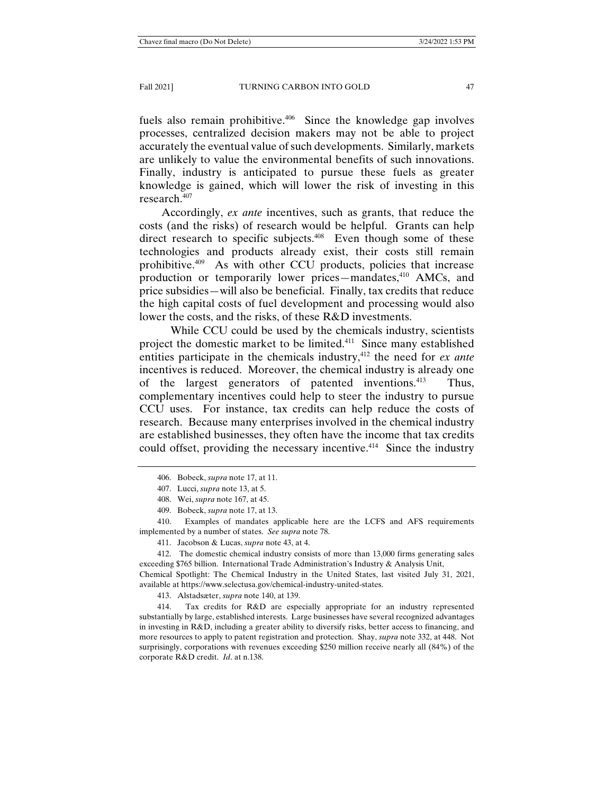fuels also remain prohibitive.<sup>406</sup> Since the knowledge gap involves processes, centralized decision makers may not be able to project accurately the eventual value of such developments. Similarly, markets are unlikely to value the environmental benefits of such innovations. Finally, industry is anticipated to pursue these fuels as greater knowledge is gained, which will lower the risk of investing in this research.407

Accordingly, *ex ante* incentives, such as grants, that reduce the costs (and the risks) of research would be helpful. Grants can help direct research to specific subjects.<sup>408</sup> Even though some of these technologies and products already exist, their costs still remain prohibitive.409 As with other CCU products, policies that increase production or temporarily lower prices—mandates,<sup>410</sup> AMCs, and price subsidies—will also be beneficial. Finally, tax credits that reduce the high capital costs of fuel development and processing would also lower the costs, and the risks, of these R&D investments.

 While CCU could be used by the chemicals industry, scientists project the domestic market to be limited.411 Since many established entities participate in the chemicals industry,<sup>412</sup> the need for *ex ante* incentives is reduced. Moreover, the chemical industry is already one of the largest generators of patented inventions.413 Thus, complementary incentives could help to steer the industry to pursue CCU uses. For instance, tax credits can help reduce the costs of research. Because many enterprises involved in the chemical industry are established businesses, they often have the income that tax credits could offset, providing the necessary incentive.<sup> $414$ </sup> Since the industry

 410. Examples of mandates applicable here are the LCFS and AFS requirements implemented by a number of states. *See supra* note 78.

411. Jacobson & Lucas, *supra* note 43, at 4.

 412. The domestic chemical industry consists of more than 13,000 firms generating sales exceeding \$765 billion. International Trade Administration's Industry & Analysis Unit,

Chemical Spotlight: The Chemical Industry in the United States, last visited July 31, 2021, available at https://www.selectusa.gov/chemical-industry-united-states.

413. Alstadsæter, *supra* note 140, at 139.

 414. Tax credits for R&D are especially appropriate for an industry represented substantially by large, established interests. Large businesses have several recognized advantages in investing in R&D, including a greater ability to diversify risks, better access to financing, and more resources to apply to patent registration and protection. Shay, *supra* note 332, at 448. Not surprisingly, corporations with revenues exceeding \$250 million receive nearly all (84%) of the corporate R&D credit. *Id*. at n.138.

 <sup>406.</sup> Bobeck, *supra* note 17, at 11.

 <sup>407.</sup> Lucci, *supra* note 13, at 5.

 <sup>408.</sup> Wei, *supra* note 167, at 45.

 <sup>409.</sup> Bobeck, *supra* note 17, at 13.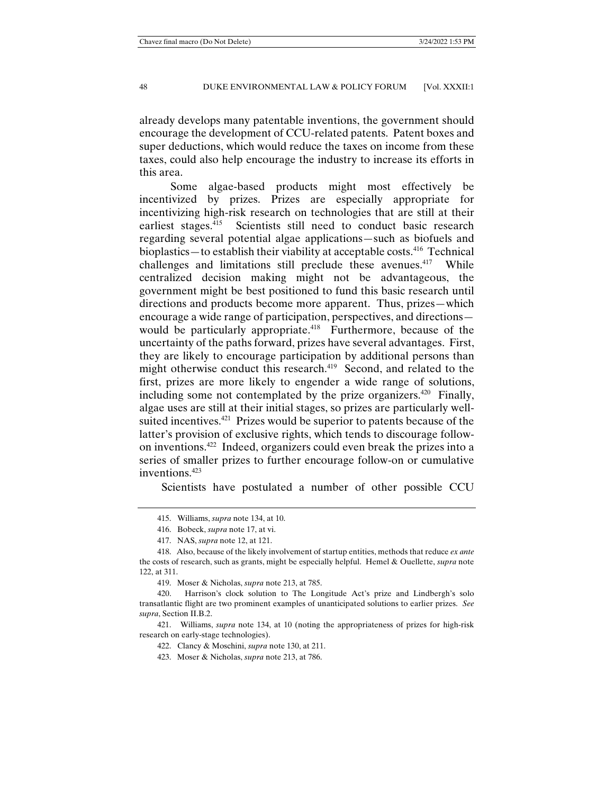already develops many patentable inventions, the government should encourage the development of CCU-related patents. Patent boxes and super deductions, which would reduce the taxes on income from these taxes, could also help encourage the industry to increase its efforts in this area.

 Some algae-based products might most effectively be incentivized by prizes. Prizes are especially appropriate for incentivizing high-risk research on technologies that are still at their earliest stages.<sup>415</sup> Scientists still need to conduct basic research regarding several potential algae applications—such as biofuels and bioplastics—to establish their viability at acceptable costs.<sup>416</sup> Technical challenges and limitations still preclude these avenues.<sup>417</sup> While centralized decision making might not be advantageous, the government might be best positioned to fund this basic research until directions and products become more apparent. Thus, prizes—which encourage a wide range of participation, perspectives, and directions would be particularly appropriate.<sup>418</sup> Furthermore, because of the uncertainty of the paths forward, prizes have several advantages. First, they are likely to encourage participation by additional persons than might otherwise conduct this research.<sup>419</sup> Second, and related to the first, prizes are more likely to engender a wide range of solutions, including some not contemplated by the prize organizers.<sup>420</sup> Finally, algae uses are still at their initial stages, so prizes are particularly wellsuited incentives.<sup>421</sup> Prizes would be superior to patents because of the latter's provision of exclusive rights, which tends to discourage followon inventions.422 Indeed, organizers could even break the prizes into a series of smaller prizes to further encourage follow-on or cumulative inventions.423

Scientists have postulated a number of other possible CCU

 <sup>415.</sup> Williams, *supra* note 134, at 10.

 <sup>416.</sup> Bobeck, *supra* note 17, at vi.

 <sup>417.</sup> NAS, *supra* note 12, at 121.

 <sup>418.</sup> Also, because of the likely involvement of startup entities, methods that reduce *ex ante* the costs of research, such as grants, might be especially helpful. Hemel & Ouellette, *supra* note 122, at 311.

 <sup>419.</sup> Moser & Nicholas, *supra* note 213, at 785.

 <sup>420.</sup> Harrison's clock solution to The Longitude Act's prize and Lindbergh's solo transatlantic flight are two prominent examples of unanticipated solutions to earlier prizes. *See supra*, Section II.B.2.

 <sup>421.</sup> Williams, *supra* note 134, at 10 (noting the appropriateness of prizes for high-risk research on early-stage technologies).

 <sup>422.</sup> Clancy & Moschini, *supra* note 130, at 211.

 <sup>423.</sup> Moser & Nicholas, *supra* note 213, at 786.